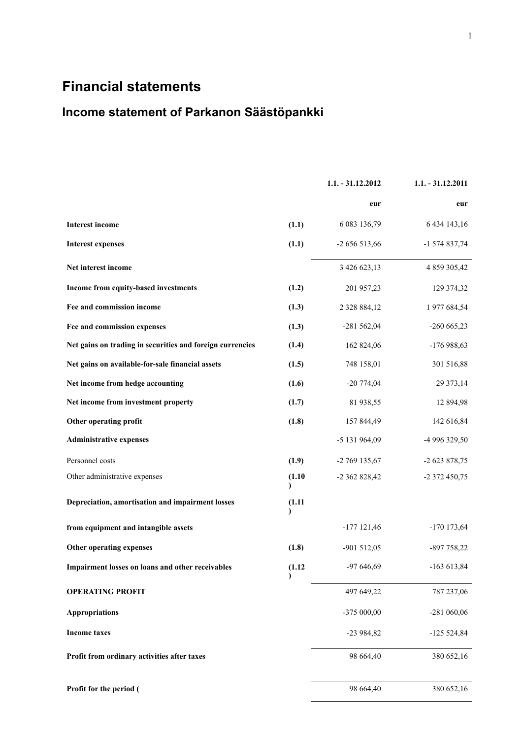# **Financial statements**

# **Income statement of Parkanon Säästöpankki**

|                                                           |        | $1.1. - 31.12.2012$ | $1.1. - 31.12.2011$ |
|-----------------------------------------------------------|--------|---------------------|---------------------|
|                                                           |        | eur                 | eur                 |
| <b>Interest income</b>                                    | (1.1)  | 6 083 136,79        | 6 434 143,16        |
| <b>Interest expenses</b>                                  | (1.1)  | -2 656 513,66       | -1 574 837,74       |
| Net interest income                                       |        | 3 426 623,13        | 4 859 305,42        |
| Income from equity-based investments                      | (1.2)  | 201 957,23          | 129 374,32          |
| Fee and commission income                                 | (1.3)  | 2 3 2 8 8 8 4 , 1 2 | 1 977 684,54        |
| Fee and commission expenses                               | (1.3)  | $-281562,04$        | $-260665,23$        |
| Net gains on trading in securities and foreign currencies | (1.4)  | 162 824,06          | $-176988,63$        |
| Net gains on available-for-sale financial assets          | (1.5)  | 748 158,01          | 301 516,88          |
| Net income from hedge accounting                          | (1.6)  | $-20774,04$         | 29 373,14           |
| Net income from investment property                       | (1.7)  | 81 938,55           | 12 894,98           |
| Other operating profit                                    | (1.8)  | 157 844,49          | 142 616,84          |
| <b>Administrative expenses</b>                            |        | -5 131 964,09       | -4 996 329,50       |
| Personnel costs                                           | (1.9)  | -2 769 135,67       | -2 623 878,75       |
| Other administrative expenses                             | (1.10) | -2 362 828,42       | -2 372 450,75       |
| Depreciation, amortisation and impairment losses          | (1.11) |                     |                     |
| from equipment and intangible assets                      |        | $-177$ 121,46       | $-170$ 173,64       |
| Other operating expenses                                  | (1.8)  | $-901512,05$        | -897 758,22         |
| Impairment losses on loans and other receivables          | (1.12) | $-97646,69$         | $-163613,84$        |
| <b>OPERATING PROFIT</b>                                   |        | 497 649,22          | 787 237,06          |
| <b>Appropriations</b>                                     |        | -375 000,00         | -281 060,06         |
| <b>Income taxes</b>                                       |        | $-23984,82$         | $-125524,84$        |
| Profit from ordinary activities after taxes               |        | 98 664,40           | 380 652,16          |
| Profit for the period (                                   |        | 98 664,40           | 380 652,16          |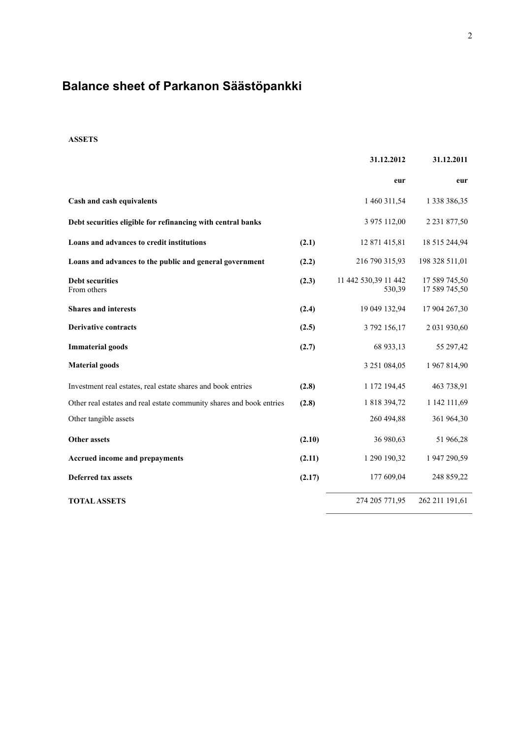# **Balance sheet of Parkanon Säästöpankki**

# **ASSETS**

|                                                                      |        | 31.12.2012                     | 31.12.2011                     |
|----------------------------------------------------------------------|--------|--------------------------------|--------------------------------|
|                                                                      |        | eur                            | eur                            |
| Cash and cash equivalents                                            |        | 1 460 311,54                   | 1 338 386,35                   |
| Debt securities eligible for refinancing with central banks          |        | 3 975 112,00                   | 2 2 3 1 8 7 7 , 5 0            |
| Loans and advances to credit institutions                            | (2.1)  | 12 871 415,81                  | 18 515 244,94                  |
| Loans and advances to the public and general government              | (2.2)  | 216 790 315,93                 | 198 328 511,01                 |
| <b>Debt securities</b><br>From others                                | (2.3)  | 11 442 530,39 11 442<br>530,39 | 17 589 745,50<br>17 589 745,50 |
| <b>Shares and interests</b>                                          | (2.4)  | 19 049 132,94                  | 17 904 267,30                  |
| <b>Derivative contracts</b>                                          | (2.5)  | 3 792 156,17                   | 2 031 930,60                   |
| <b>Immaterial goods</b>                                              | (2.7)  | 68 933,13                      | 55 297,42                      |
| <b>Material goods</b>                                                |        | 3 251 084,05                   | 1 967 814,90                   |
| Investment real estates, real estate shares and book entries         | (2.8)  | 1 172 194,45                   | 463 738,91                     |
| Other real estates and real estate community shares and book entries | (2.8)  | 1 818 394,72                   | 1 142 111,69                   |
| Other tangible assets                                                |        | 260 494,88                     | 361 964,30                     |
| <b>Other assets</b>                                                  | (2.10) | 36 980,63                      | 51 966,28                      |
| <b>Accrued income and prepayments</b>                                | (2.11) | 1 290 190,32                   | 1 947 290,59                   |
| <b>Deferred tax assets</b>                                           | (2.17) | 177 609,04                     | 248 859,22                     |
| <b>TOTAL ASSETS</b>                                                  |        | 274 205 771,95                 | 262 211 191,61                 |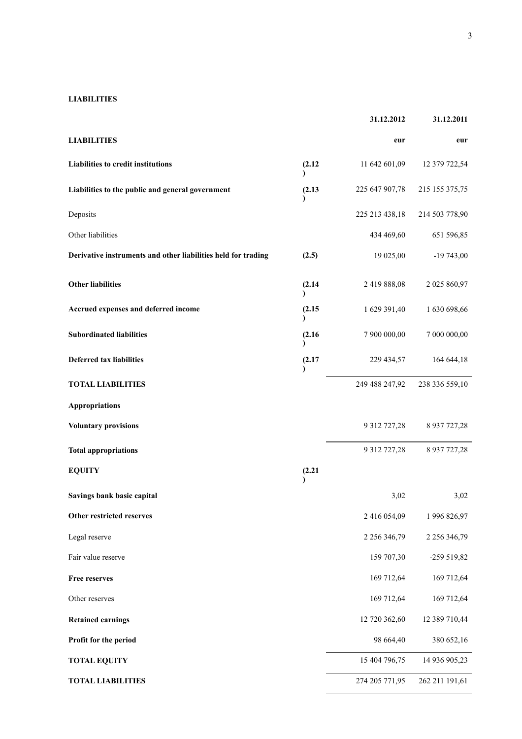# **LIABILITIES**

|                                                               |                        | 31.12.2012          | 31.12.2011      |
|---------------------------------------------------------------|------------------------|---------------------|-----------------|
| <b>LIABILITIES</b>                                            |                        | eur                 | eur             |
| Liabilities to credit institutions                            | (2.12)                 | 11 642 601,09       | 12 379 722,54   |
| Liabilities to the public and general government              | (2.13)                 | 225 647 907,78      | 215 155 375,75  |
| Deposits                                                      |                        | 225 213 438,18      | 214 503 778,90  |
| Other liabilities                                             |                        | 434 469,60          | 651 596,85      |
| Derivative instruments and other liabilities held for trading | (2.5)                  | 19 025,00           | $-19743,00$     |
| <b>Other liabilities</b>                                      | (2.14)                 | 2 419 888,08        | 2 025 860,97    |
| Accrued expenses and deferred income                          | (2.15)                 | 1 629 391,40        | 1 630 698,66    |
| <b>Subordinated liabilities</b>                               | (2.16)<br><sup>1</sup> | 7 900 000,00        | 7 000 000,00    |
| <b>Deferred tax liabilities</b>                               | (2.17)<br>$\lambda$    | 229 434,57          | 164 644,18      |
| <b>TOTAL LIABILITIES</b>                                      |                        | 249 488 247,92      | 238 336 559,10  |
| <b>Appropriations</b>                                         |                        |                     |                 |
| <b>Voluntary provisions</b>                                   |                        | 9 312 727,28        | 8 9 37 7 27, 28 |
| <b>Total appropriations</b>                                   |                        | 9 312 727,28        | 8 9 37 7 27, 28 |
| <b>EQUITY</b>                                                 | (2.21)<br>$\lambda$    |                     |                 |
| Savings bank basic capital                                    |                        | 3,02                | 3,02            |
| Other restricted reserves                                     |                        | 2 416 054,09        | 1 996 826,97    |
| Legal reserve                                                 |                        | 2 2 5 6 3 4 6 , 7 9 | 2 256 346,79    |
| Fair value reserve                                            |                        | 159 707,30          | -259 519,82     |
| <b>Free reserves</b>                                          |                        | 169 712,64          | 169 712,64      |
| Other reserves                                                |                        | 169 712,64          | 169 712,64      |
| <b>Retained earnings</b>                                      |                        | 12 720 362,60       | 12 389 710,44   |
| Profit for the period                                         |                        | 98 664,40           | 380 652,16      |
| <b>TOTAL EQUITY</b>                                           |                        | 15 404 796,75       | 14 936 905,23   |
| <b>TOTAL LIABILITIES</b>                                      |                        | 274 205 771,95      | 262 211 191,61  |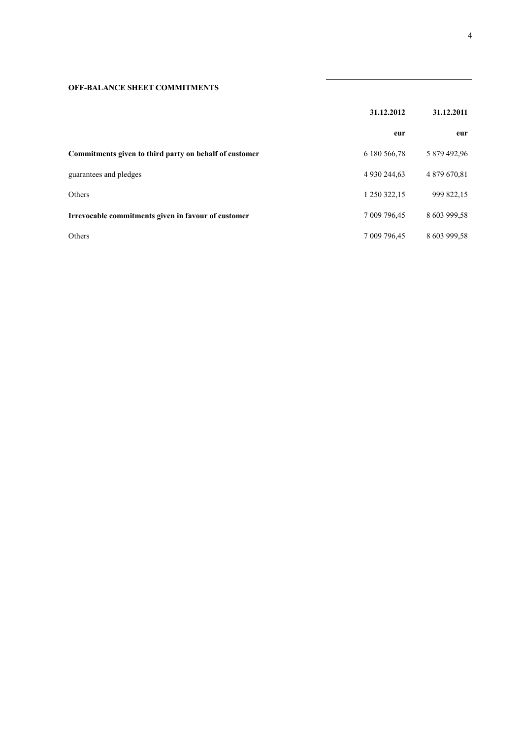# **OFF-BALANCE SHEET COMMITMENTS**

|                                                        | 31.12.2012   | 31.12.2011   |  |
|--------------------------------------------------------|--------------|--------------|--|
|                                                        | eur          | eur          |  |
| Commitments given to third party on behalf of customer | 6 180 566,78 | 5 879 492,96 |  |
| guarantees and pledges                                 | 4 930 244.63 | 4 879 670,81 |  |
| Others                                                 | 1 250 322,15 | 999 822,15   |  |
| Irrevocable commitments given in favour of customer    | 7 009 796,45 | 8 603 999,58 |  |
| Others                                                 | 7 009 796.45 | 8 603 999,58 |  |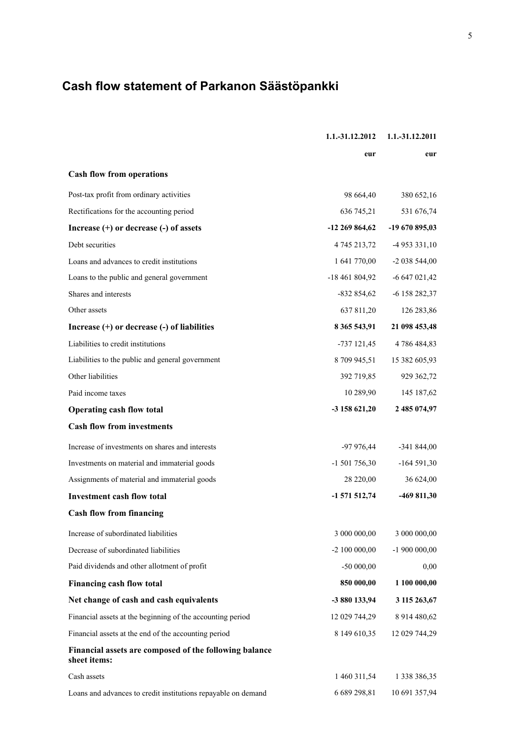# **Cash flow statement of Parkanon Säästöpankki**

|                                                                        | 1.1.-31.12.2012 | 1.1.-31.12.2011 |
|------------------------------------------------------------------------|-----------------|-----------------|
|                                                                        | eur             | eur             |
| <b>Cash flow from operations</b>                                       |                 |                 |
| Post-tax profit from ordinary activities                               | 98 664,40       | 380 652,16      |
| Rectifications for the accounting period                               | 636 745,21      | 531 676,74      |
| Increase $(+)$ or decrease $(-)$ of assets                             | $-12269864,62$  | -19 670 895,03  |
| Debt securities                                                        | 4 745 213,72    | $-4953331,10$   |
| Loans and advances to credit institutions                              | 1 641 770,00    | $-2038544,00$   |
| Loans to the public and general government                             | $-18461804,92$  | $-6647021,42$   |
| Shares and interests                                                   | $-832854,62$    | -6 158 282,37   |
| Other assets                                                           | 637 811,20      | 126 283,86      |
| Increase (+) or decrease (-) of liabilities                            | 8 365 543,91    | 21 098 453,48   |
| Liabilities to credit institutions                                     | $-737121,45$    | 4 786 484,83    |
| Liabilities to the public and general government                       | 8 709 945,51    | 15 382 605,93   |
| Other liabilities                                                      | 392 719,85      | 929 362,72      |
| Paid income taxes                                                      | 10 289,90       | 145 187,62      |
| <b>Operating cash flow total</b>                                       | -3 158 621,20   | 2 485 074,97    |
| <b>Cash flow from investments</b>                                      |                 |                 |
| Increase of investments on shares and interests                        | $-97976,44$     | $-341844,00$    |
| Investments on material and immaterial goods                           | $-1501756,30$   | $-164591,30$    |
| Assignments of material and immaterial goods                           | 28 220,00       | 36 624,00       |
| <b>Investment cash flow total</b>                                      | $-1571512,74$   | -469 811,30     |
| <b>Cash flow from financing</b>                                        |                 |                 |
| Increase of subordinated liabilities                                   | 3 000 000,00    | 3 000 000,00    |
| Decrease of subordinated liabilities                                   | $-2$ 100 000,00 | $-1900000000$   |
| Paid dividends and other allotment of profit                           | $-5000000$      | 0,00            |
| Financing cash flow total                                              | 850 000,00      | 1 100 000,00    |
| Net change of cash and cash equivalents                                | -3 880 133,94   | 3 115 263,67    |
| Financial assets at the beginning of the accounting period             | 12 029 744,29   | 8 914 480,62    |
| Financial assets at the end of the accounting period                   | 8 149 610,35    | 12 029 744,29   |
| Financial assets are composed of the following balance<br>sheet items: |                 |                 |
| Cash assets                                                            | 1 460 311,54    | 1 338 386,35    |
| Loans and advances to credit institutions repayable on demand          | 6 689 298,81    | 10 691 357,94   |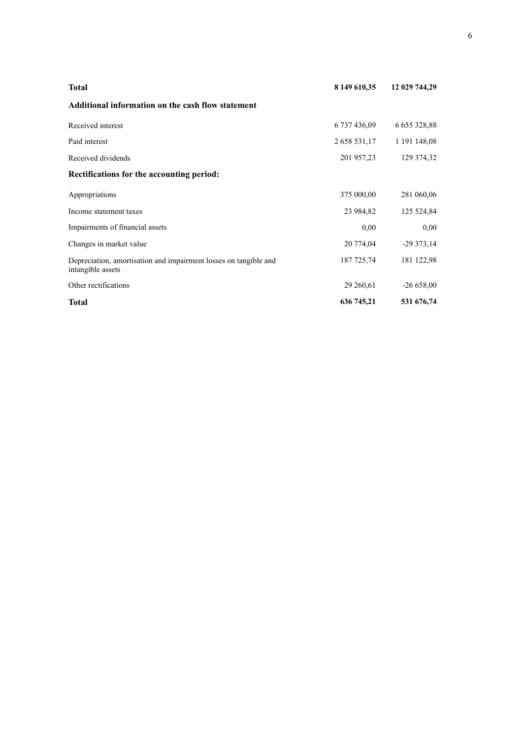| <b>Total</b>                                                                          | 8 149 610,35 | 12 029 744,29     |
|---------------------------------------------------------------------------------------|--------------|-------------------|
| Additional information on the cash flow statement                                     |              |                   |
| Received interest                                                                     | 6 737 436,09 | 6 6 5 3 3 2 8 8 8 |
| Paid interest                                                                         | 2 658 531,17 | 1 191 148,08      |
| Received dividends                                                                    | 201 957,23   | 129 374,32        |
| Rectifications for the accounting period:                                             |              |                   |
| Appropriations                                                                        | 375 000,00   | 281 060,06        |
| Income statement taxes                                                                | 23 984,82    | 125 524,84        |
| Impairments of financial assets                                                       | 0,00         | 0,00              |
| Changes in market value                                                               | 20 774,04    | $-29373,14$       |
| Depreciation, amortisation and impairment losses on tangible and<br>intangible assets | 187 725,74   | 181 122,98        |
| Other rectifications                                                                  | 29 260,61    | $-26658,00$       |
| Total                                                                                 | 636 745,21   | 531 676,74        |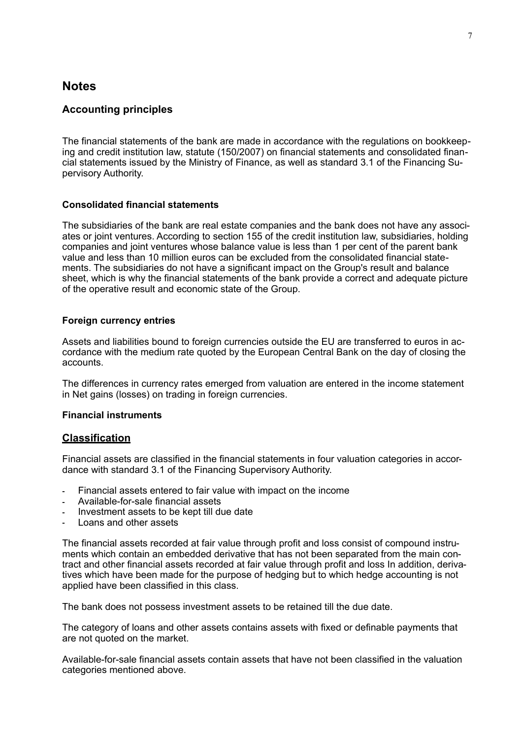# **Notes**

# **Accounting principles**

The financial statements of the bank are made in accordance with the regulations on bookkeeping and credit institution law, statute (150/2007) on financial statements and consolidated financial statements issued by the Ministry of Finance, as well as standard 3.1 of the Financing Supervisory Authority.

## **Consolidated financial statements**

The subsidiaries of the bank are real estate companies and the bank does not have any associates or joint ventures. According to section 155 of the credit institution law, subsidiaries, holding companies and joint ventures whose balance value is less than 1 per cent of the parent bank value and less than 10 million euros can be excluded from the consolidated financial statements. The subsidiaries do not have a significant impact on the Group's result and balance sheet, which is why the financial statements of the bank provide a correct and adequate picture of the operative result and economic state of the Group.

## **Foreign currency entries**

Assets and liabilities bound to foreign currencies outside the EU are transferred to euros in accordance with the medium rate quoted by the European Central Bank on the day of closing the accounts.

The differences in currency rates emerged from valuation are entered in the income statement in Net gains (losses) on trading in foreign currencies.

### **Financial instruments**

# **Classification**

Financial assets are classified in the financial statements in four valuation categories in accordance with standard 3.1 of the Financing Supervisory Authority.

- Financial assets entered to fair value with impact on the income
- Available-for-sale financial assets
- Investment assets to be kept till due date
- Loans and other assets

The financial assets recorded at fair value through profit and loss consist of compound instruments which contain an embedded derivative that has not been separated from the main contract and other financial assets recorded at fair value through profit and loss In addition, derivatives which have been made for the purpose of hedging but to which hedge accounting is not applied have been classified in this class.

The bank does not possess investment assets to be retained till the due date.

The category of loans and other assets contains assets with fixed or definable payments that are not quoted on the market.

Available-for-sale financial assets contain assets that have not been classified in the valuation categories mentioned above.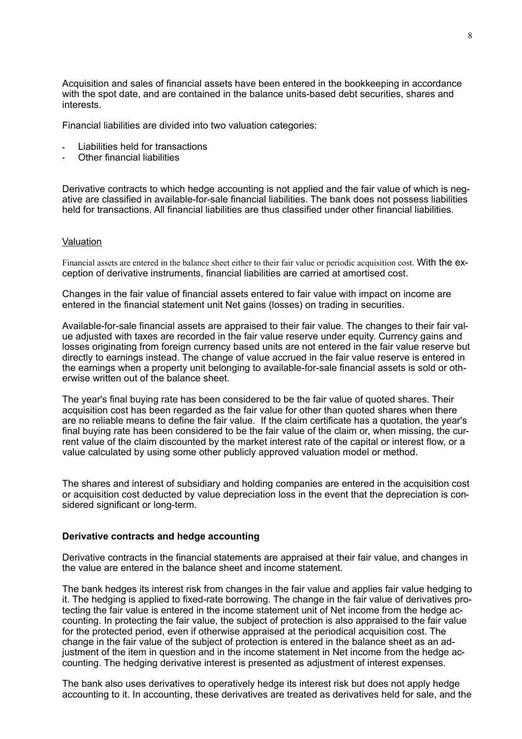Acquisition and sales of financial assets have been entered in the bookkeeping in accordance with the spot date, and are contained in the balance units-based debt securities, shares and **interests** 

Financial liabilities are divided into two valuation categories:

- Liabilities held for transactions
- Other financial liabilities

Derivative contracts to which hedge accounting is not applied and the fair value of which is negative are classified in available-for-sale financial liabilities. The bank does not possess liabilities held for transactions. All financial liabilities are thus classified under other financial liabilities.

#### Valuation

Financial assets are entered in the balance sheet either to their fair value or periodic acquisition cost. With the exception of derivative instruments, financial liabilities are carried at amortised cost.

Changes in the fair value of financial assets entered to fair value with impact on income are entered in the financial statement unit Net gains (losses) on trading in securities.

Available-for-sale financial assets are appraised to their fair value. The changes to their fair value adjusted with taxes are recorded in the fair value reserve under equity. Currency gains and losses originating from foreign currency based units are not entered in the fair value reserve but directly to earnings instead. The change of value accrued in the fair value reserve is entered in the earnings when a property unit belonging to available-for-sale financial assets is sold or otherwise written out of the balance sheet.

The year's final buying rate has been considered to be the fair value of quoted shares. Their acquisition cost has been regarded as the fair value for other than quoted shares when there are no reliable means to define the fair value. If the claim certificate has a quotation, the year's final buying rate has been considered to be the fair value of the claim or, when missing, the current value of the claim discounted by the market interest rate of the capital or interest flow, or a value calculated by using some other publicly approved valuation model or method.

The shares and interest of subsidiary and holding companies are entered in the acquisition cost or acquisition cost deducted by value depreciation loss in the event that the depreciation is considered significant or long-term.

#### **Derivative contracts and hedge accounting**

Derivative contracts in the financial statements are appraised at their fair value, and changes in the value are entered in the balance sheet and income statement.

The bank hedges its interest risk from changes in the fair value and applies fair value hedging to it. The hedging is applied to fixed-rate borrowing. The change in the fair value of derivatives protecting the fair value is entered in the income statement unit of Net income from the hedge accounting. In protecting the fair value, the subject of protection is also appraised to the fair value for the protected period, even if otherwise appraised at the periodical acquisition cost. The change in the fair value of the subject of protection is entered in the balance sheet as an adjustment of the item in question and in the income statement in Net income from the hedge accounting. The hedging derivative interest is presented as adjustment of interest expenses.

The bank also uses derivatives to operatively hedge its interest risk but does not apply hedge accounting to it. In accounting, these derivatives are treated as derivatives held for sale, and the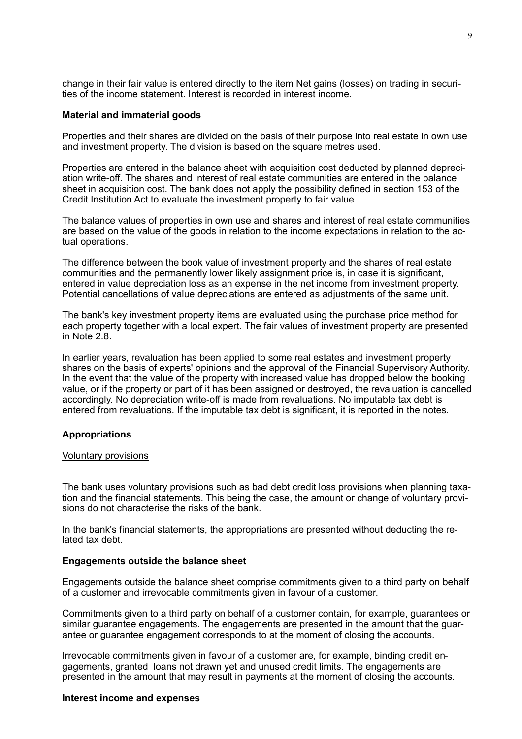change in their fair value is entered directly to the item Net gains (losses) on trading in securities of the income statement. Interest is recorded in interest income.

#### **Material and immaterial goods**

Properties and their shares are divided on the basis of their purpose into real estate in own use and investment property. The division is based on the square metres used.

Properties are entered in the balance sheet with acquisition cost deducted by planned depreciation write-off. The shares and interest of real estate communities are entered in the balance sheet in acquisition cost. The bank does not apply the possibility defined in section 153 of the Credit Institution Act to evaluate the investment property to fair value.

The balance values of properties in own use and shares and interest of real estate communities are based on the value of the goods in relation to the income expectations in relation to the actual operations.

The difference between the book value of investment property and the shares of real estate communities and the permanently lower likely assignment price is, in case it is significant, entered in value depreciation loss as an expense in the net income from investment property. Potential cancellations of value depreciations are entered as adjustments of the same unit.

The bank's key investment property items are evaluated using the purchase price method for each property together with a local expert. The fair values of investment property are presented in Note 2.8.

In earlier years, revaluation has been applied to some real estates and investment property shares on the basis of experts' opinions and the approval of the Financial Supervisory Authority. In the event that the value of the property with increased value has dropped below the booking value, or if the property or part of it has been assigned or destroyed, the revaluation is cancelled accordingly. No depreciation write-off is made from revaluations. No imputable tax debt is entered from revaluations. If the imputable tax debt is significant, it is reported in the notes.

# **Appropriations**

### Voluntary provisions

The bank uses voluntary provisions such as bad debt credit loss provisions when planning taxation and the financial statements. This being the case, the amount or change of voluntary provisions do not characterise the risks of the bank.

In the bank's financial statements, the appropriations are presented without deducting the related tax debt.

## **Engagements outside the balance sheet**

Engagements outside the balance sheet comprise commitments given to a third party on behalf of a customer and irrevocable commitments given in favour of a customer.

Commitments given to a third party on behalf of a customer contain, for example, guarantees or similar guarantee engagements. The engagements are presented in the amount that the guarantee or guarantee engagement corresponds to at the moment of closing the accounts.

Irrevocable commitments given in favour of a customer are, for example, binding credit engagements, granted loans not drawn yet and unused credit limits. The engagements are presented in the amount that may result in payments at the moment of closing the accounts.

# **Interest income and expenses**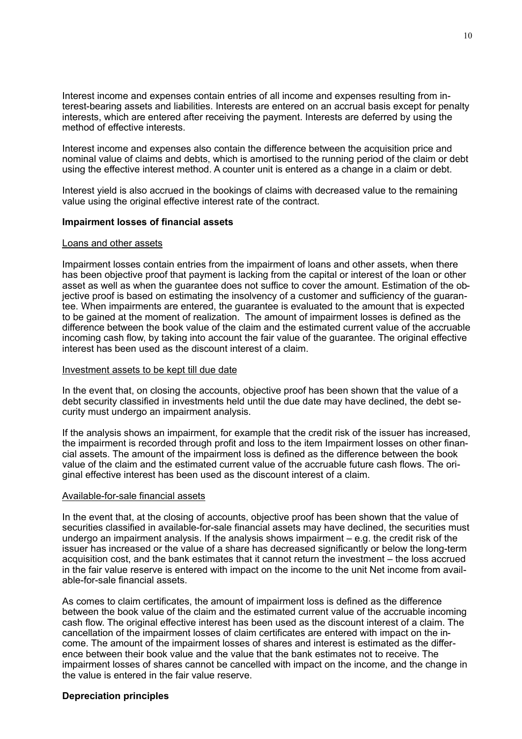Interest income and expenses contain entries of all income and expenses resulting from interest-bearing assets and liabilities. Interests are entered on an accrual basis except for penalty interests, which are entered after receiving the payment. Interests are deferred by using the method of effective interests.

Interest income and expenses also contain the difference between the acquisition price and nominal value of claims and debts, which is amortised to the running period of the claim or debt using the effective interest method. A counter unit is entered as a change in a claim or debt.

Interest yield is also accrued in the bookings of claims with decreased value to the remaining value using the original effective interest rate of the contract.

## **Impairment losses of financial assets**

#### Loans and other assets

Impairment losses contain entries from the impairment of loans and other assets, when there has been objective proof that payment is lacking from the capital or interest of the loan or other asset as well as when the guarantee does not suffice to cover the amount. Estimation of the objective proof is based on estimating the insolvency of a customer and sufficiency of the guarantee. When impairments are entered, the guarantee is evaluated to the amount that is expected to be gained at the moment of realization. The amount of impairment losses is defined as the difference between the book value of the claim and the estimated current value of the accruable incoming cash flow, by taking into account the fair value of the guarantee. The original effective interest has been used as the discount interest of a claim.

### Investment assets to be kept till due date

In the event that, on closing the accounts, objective proof has been shown that the value of a debt security classified in investments held until the due date may have declined, the debt security must undergo an impairment analysis.

If the analysis shows an impairment, for example that the credit risk of the issuer has increased, the impairment is recorded through profit and loss to the item Impairment losses on other financial assets. The amount of the impairment loss is defined as the difference between the book value of the claim and the estimated current value of the accruable future cash flows. The original effective interest has been used as the discount interest of a claim.

### Available-for-sale financial assets

In the event that, at the closing of accounts, objective proof has been shown that the value of securities classified in available-for-sale financial assets may have declined, the securities must undergo an impairment analysis. If the analysis shows impairment – e.g. the credit risk of the issuer has increased or the value of a share has decreased significantly or below the long-term acquisition cost, and the bank estimates that it cannot return the investment – the loss accrued in the fair value reserve is entered with impact on the income to the unit Net income from available-for-sale financial assets.

As comes to claim certificates, the amount of impairment loss is defined as the difference between the book value of the claim and the estimated current value of the accruable incoming cash flow. The original effective interest has been used as the discount interest of a claim. The cancellation of the impairment losses of claim certificates are entered with impact on the income. The amount of the impairment losses of shares and interest is estimated as the difference between their book value and the value that the bank estimates not to receive. The impairment losses of shares cannot be cancelled with impact on the income, and the change in the value is entered in the fair value reserve.

# **Depreciation principles**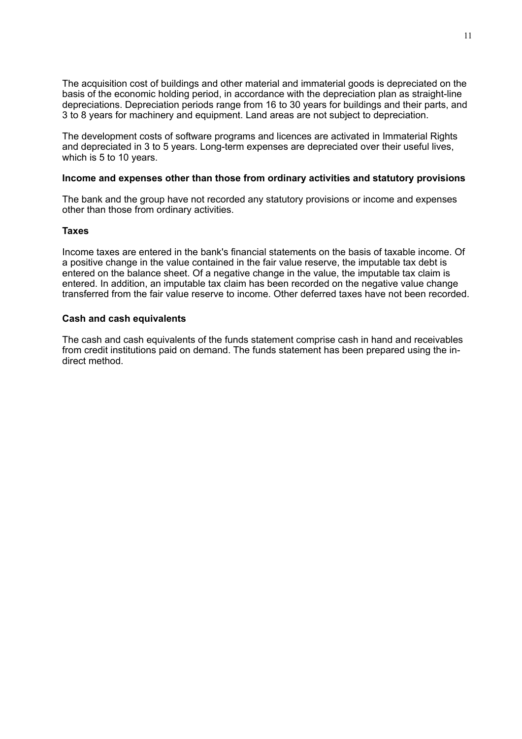The acquisition cost of buildings and other material and immaterial goods is depreciated on the basis of the economic holding period, in accordance with the depreciation plan as straight-line depreciations. Depreciation periods range from 16 to 30 years for buildings and their parts, and 3 to 8 years for machinery and equipment. Land areas are not subject to depreciation.

The development costs of software programs and licences are activated in Immaterial Rights and depreciated in 3 to 5 years. Long-term expenses are depreciated over their useful lives, which is 5 to 10 years.

# **Income and expenses other than those from ordinary activities and statutory provisions**

The bank and the group have not recorded any statutory provisions or income and expenses other than those from ordinary activities.

#### **Taxes**

Income taxes are entered in the bank's financial statements on the basis of taxable income. Of a positive change in the value contained in the fair value reserve, the imputable tax debt is entered on the balance sheet. Of a negative change in the value, the imputable tax claim is entered. In addition, an imputable tax claim has been recorded on the negative value change transferred from the fair value reserve to income. Other deferred taxes have not been recorded.

## **Cash and cash equivalents**

The cash and cash equivalents of the funds statement comprise cash in hand and receivables from credit institutions paid on demand. The funds statement has been prepared using the indirect method.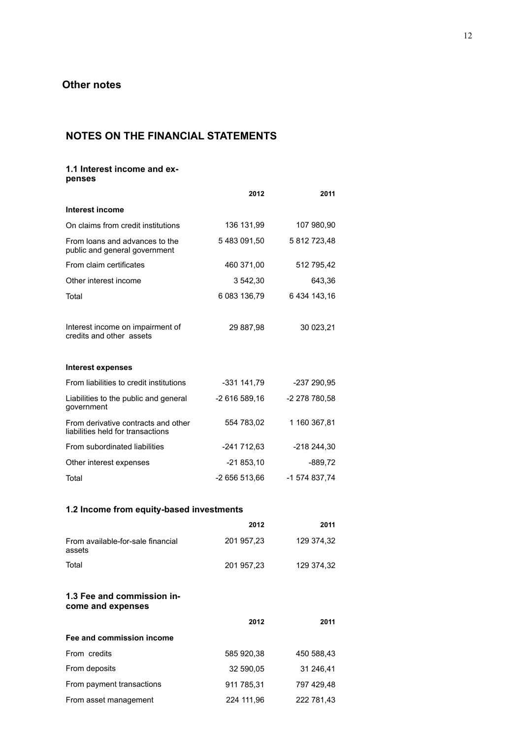# **NOTES ON THE FINANCIAL STATEMENTS**

### **1.1 Interest income and expenses**

|                                                                          | 2012          | 2011          |
|--------------------------------------------------------------------------|---------------|---------------|
| Interest income                                                          |               |               |
| On claims from credit institutions                                       | 136 131,99    | 107 980,90    |
| From loans and advances to the<br>public and general government          | 5483091,50    | 5 812 723,48  |
| From claim certificates                                                  | 460 371,00    | 512 795,42    |
| Other interest income                                                    | 3 542,30      | 643,36        |
| Total                                                                    | 6 083 136,79  | 6 434 143,16  |
| Interest income on impairment of<br>credits and other assets             | 29 887,98     | 30 023,21     |
| <b>Interest expenses</b>                                                 |               |               |
| From liabilities to credit institutions                                  | -331 141,79   | -237 290,95   |
| Liabilities to the public and general<br>government                      | -2 616 589,16 | -2 278 780,58 |
| From derivative contracts and other<br>liabilities held for transactions | 554 783,02    | 1 160 367,81  |
| From subordinated liabilities                                            | -241 712,63   | -218 244,30   |
| Other interest expenses                                                  | $-21853,10$   | $-889,72$     |
| Total                                                                    | -2 656 513,66 | -1 574 837,74 |
| 1.2 Income from equity-based investments                                 |               |               |
|                                                                          | 2012          | 2011          |
| From available-for-sale financial<br>assets                              | 201 957,23    | 129 374,32    |
| Total                                                                    | 201 957,23    | 129 374,32    |
| 1.3 Fee and commission in-<br>come and expenses                          |               |               |
|                                                                          | 2012          | 2011          |
| Fee and commission income                                                |               |               |
| From credits                                                             | 585 920,38    | 450 588,43    |
| From deposits                                                            | 32 590,05     | 31 246,41     |
| From payment transactions                                                | 911 785,31    | 797 429,48    |
| From asset management                                                    | 224 111,96    | 222 781,43    |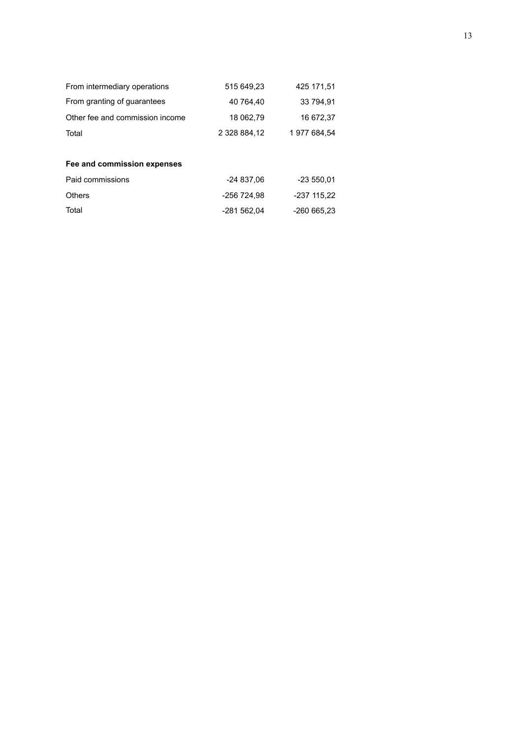| From intermediary operations    | 515 649,23   | 425 171.51  |
|---------------------------------|--------------|-------------|
| From granting of guarantees     | 40 764.40    | 33 794,91   |
| Other fee and commission income | 18 062,79    | 16 672,37   |
| Total                           | 2 328 884.12 | 1977684.54  |
|                                 |              |             |
| Fee and commission expenses     |              |             |
| Paid commissions                | $-24837.06$  | $-23550,01$ |
| <b>Others</b>                   | -256 724.98  | -237 115.22 |
| Total                           | -281 562.04  | -260 665.23 |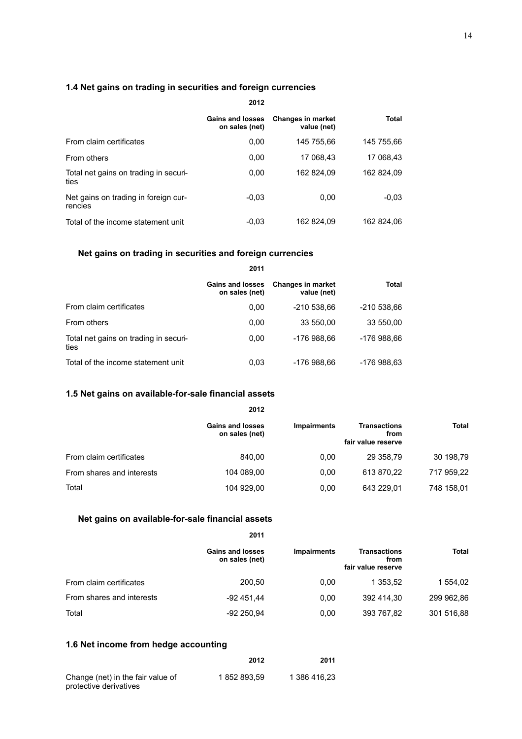# **1.4 Net gains on trading in securities and foreign currencies**

|                                                 | Gains and losses<br>on sales (net) | <b>Changes in market</b><br>value (net) | <b>Total</b> |  |
|-------------------------------------------------|------------------------------------|-----------------------------------------|--------------|--|
| From claim certificates                         | 0,00                               | 145 755.66                              | 145 755.66   |  |
| From others                                     | 0,00                               | 17 068.43                               | 17 068.43    |  |
| Total net gains on trading in securi-<br>ties   | 0.00                               | 162 824.09                              | 162 824.09   |  |
| Net gains on trading in foreign cur-<br>rencies | $-0.03$                            | 0.00                                    | $-0.03$      |  |
| Total of the income statement unit              | $-0.03$                            | 162 824.09                              | 162 824.06   |  |

# **Net gains on trading in securities and foreign currencies**

|                                               | 2011                               |                                         |              |  |
|-----------------------------------------------|------------------------------------|-----------------------------------------|--------------|--|
|                                               | Gains and losses<br>on sales (net) | <b>Changes in market</b><br>value (net) | <b>Total</b> |  |
| From claim certificates                       | 0,00                               | -210 538,66                             | -210 538,66  |  |
| From others                                   | 0.00                               | 33 550,00                               | 33 550,00    |  |
| Total net gains on trading in securi-<br>ties | 0,00                               | -176 988.66                             | -176 988.66  |  |
| Total of the income statement unit            | 0.03                               | -176 988,66                             | -176 988,63  |  |

# **1.5 Net gains on available-for-sale financial assets**

|                           | 2012                               |                    |                                                   |            |
|---------------------------|------------------------------------|--------------------|---------------------------------------------------|------------|
|                           | Gains and losses<br>on sales (net) | <b>Impairments</b> | <b>Transactions</b><br>from<br>fair value reserve | Total      |
| From claim certificates   | 840.00                             | 0.00               | 29 358.79                                         | 30 198,79  |
| From shares and interests | 104 089,00                         | 0.00               | 613 870,22                                        | 717 959,22 |
| Total                     | 104 929,00                         | 0.00               | 643 229.01                                        | 748 158,01 |

# **Net gains on available-for-sale financial assets**

|                           | <b>Gains and losses</b><br>on sales (net) | Impairments | Transactions<br>from<br>fair value reserve | Total      |
|---------------------------|-------------------------------------------|-------------|--------------------------------------------|------------|
| From claim certificates   | 200.50                                    | 0.00        | 1 353.52                                   | 1 554.02   |
| From shares and interests | $-92451,44$                               | 0.00        | 392 414.30                                 | 299 962,86 |
| Total                     | $-92250.94$                               | 0.00        | 393 767,82                                 | 301 516,88 |

**2011**

# **1.6 Net income from hedge accounting**

|                                                             | 2012       | 2011         |
|-------------------------------------------------------------|------------|--------------|
| Change (net) in the fair value of<br>protective derivatives | 1852893.59 | 1 386 416.23 |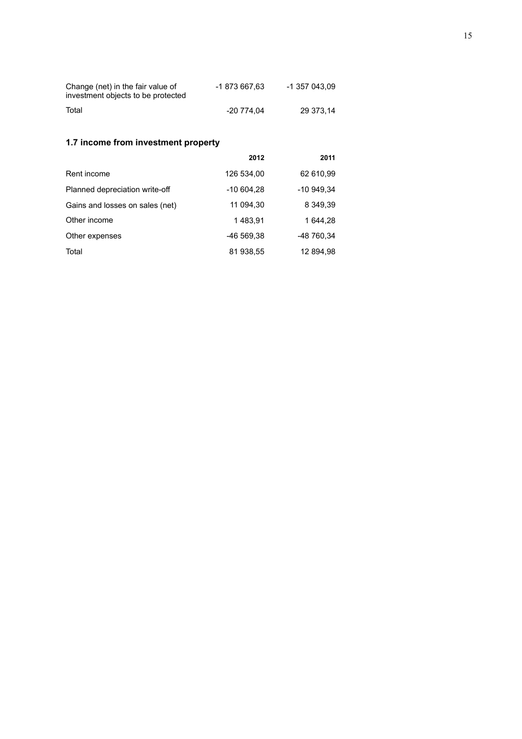| Change (net) in the fair value of<br>investment objects to be protected | -1 873 667.63 | -1 357 043.09 |
|-------------------------------------------------------------------------|---------------|---------------|
| Total                                                                   | -20 774.04    | 29 373.14     |

# **1.7 income from investment property**

|                                 | 2012        | 2011        |
|---------------------------------|-------------|-------------|
| Rent income                     | 126 534,00  | 62 610,99   |
| Planned depreciation write-off  | $-10604,28$ | $-10949,34$ |
| Gains and losses on sales (net) | 11 094,30   | 8 349,39    |
| Other income                    | 1483.91     | 1 644.28    |
| Other expenses                  | -46 569.38  | -48 760,34  |
| Total                           | 81 938,55   | 12 894,98   |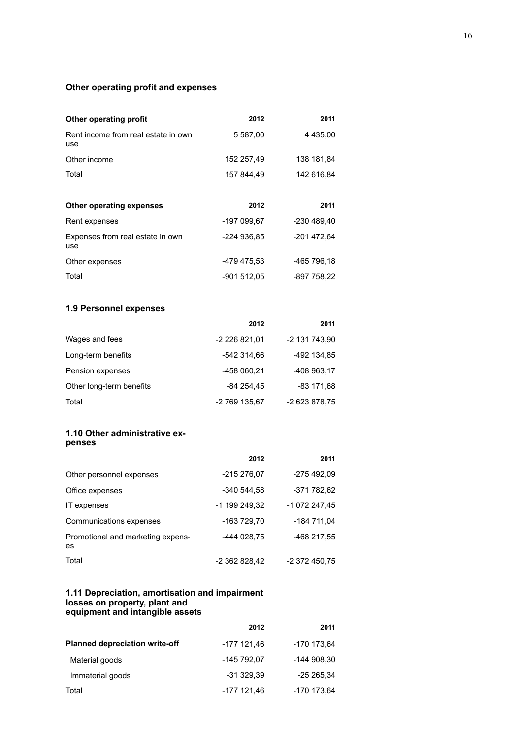# **Other operating profit and expenses**

| Other operating profit                     | 2012        | 2011          |
|--------------------------------------------|-------------|---------------|
| Rent income from real estate in own<br>use | 5 587,00    | 4 4 3 5 , 0 0 |
| Other income                               | 152 257,49  | 138 181,84    |
| Total                                      | 157 844.49  | 142 616,84    |
|                                            |             |               |
| <b>Other operating expenses</b>            | 2012        | 2011          |
| Rent expenses                              | -197 099,67 | -230 489.40   |
| Expenses from real estate in own<br>use    | -224 936,85 | -201 472,64   |
| Other expenses                             | -479 475,53 | -465 796,18   |
|                                            |             |               |

# **1.9 Personnel expenses**

|                          | 2012          | 2011          |
|--------------------------|---------------|---------------|
| Wages and fees           | -2 226 821,01 | -2 131 743,90 |
| Long-term benefits       | -542 314.66   | -492 134.85   |
| Pension expenses         | -458 060.21   | -408 963.17   |
| Other long-term benefits | -84 254.45    | $-83$ 171.68  |
| Total                    | -2 769 135,67 | -2 623 878,75 |

### **1.10 Other administrative expenses**

|                                         | 2012          | 2011          |
|-----------------------------------------|---------------|---------------|
| Other personnel expenses                | -215 276,07   | -275 492,09   |
| Office expenses                         | -340 544.58   | -371 782,62   |
| IT expenses                             | -1 199 249.32 | -1 072 247,45 |
| Communications expenses                 | -163 729.70   | -184 711.04   |
| Promotional and marketing expens-<br>es | -444 028,75   | -468 217,55   |
| Total                                   | -2 362 828.42 | -2 372 450.75 |

#### **1.11 Depreciation, amortisation and impairment losses on property, plant and equipment and intangible assets**

|                                       | 2012        | 2011        |
|---------------------------------------|-------------|-------------|
| <b>Planned depreciation write-off</b> | -177 121,46 | -170 173,64 |
| Material goods                        | -145 792,07 | -144 908,30 |
| Immaterial goods                      | $-31329.39$ | -25 265,34  |
| Total                                 | -177 121.46 | -170 173,64 |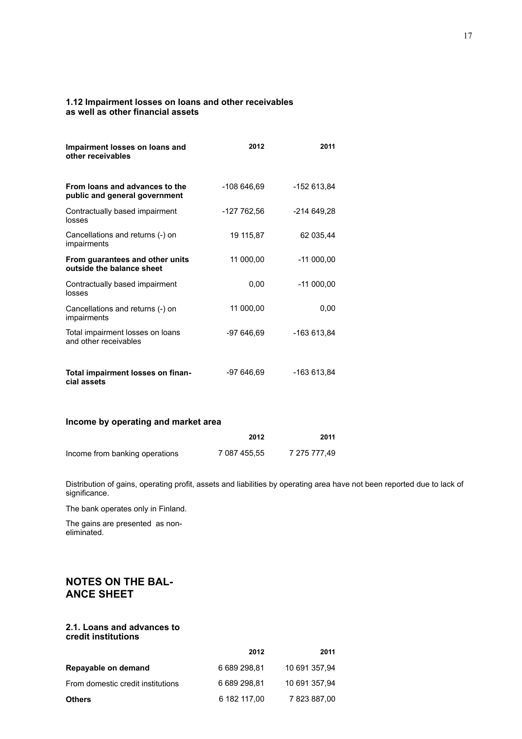#### **1.12 Impairment losses on loans and other receivables as well as other financial assets**

| Impairment losses on loans and<br>other receivables             | 2012        | 2011        |
|-----------------------------------------------------------------|-------------|-------------|
| From loans and advances to the<br>public and general government | -108 646,69 | -152 613,84 |
| Contractually based impairment<br>losses                        | -127 762,56 | -214 649,28 |
| Cancellations and returns (-) on<br>impairments                 | 19 115,87   | 62 035.44   |
| From guarantees and other units<br>outside the balance sheet    | 11 000,00   | $-11000,00$ |
| Contractually based impairment<br>losses                        | 0,00        | $-11000,00$ |
| Cancellations and returns (-) on<br>impairments                 | 11 000,00   | 0,00        |
| Total impairment losses on loans<br>and other receivables       | $-97646.69$ | -163 613,84 |
| Total impairment losses on finan-<br>cial assets                | -97 646,69  | -163 613,84 |

# **Income by operating and market area**

|                                | 2012         | 2011         |
|--------------------------------|--------------|--------------|
| Income from banking operations | 7 087 455.55 | 7 275 777.49 |

Distribution of gains, operating profit, assets and liabilities by operating area have not been reported due to lack of significance.

The bank operates only in Finland.

The gains are presented as noneliminated.

# **NOTES ON THE BAL-ANCE SHEET**

#### **2.1. Loans and advances to credit institutions**

|                                   | 2012         | 2011          |
|-----------------------------------|--------------|---------------|
| Repayable on demand               | 6 689 298.81 | 10 691 357,94 |
| From domestic credit institutions | 6 689 298.81 | 10 691 357,94 |
| <b>Others</b>                     | 6 182 117.00 | 7 823 887.00  |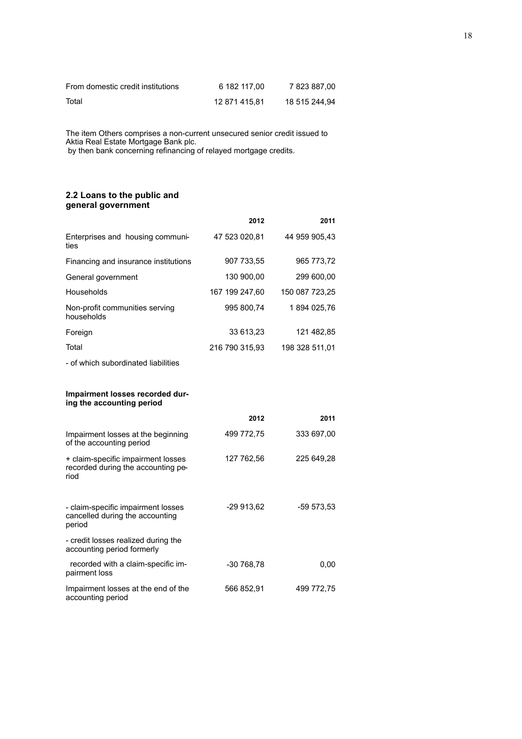| From domestic credit institutions | 6 182 117.00  | 7 823 887.00  |
|-----------------------------------|---------------|---------------|
| Total                             | 12 871 415.81 | 18 515 244.94 |

The item Others comprises a non-current unsecured senior credit issued to Aktia Real Estate Mortgage Bank plc.

by then bank concerning refinancing of relayed mortgage credits.

#### **2.2 Loans to the public and general government**

|                                                                                  | 2012           | 2011           |
|----------------------------------------------------------------------------------|----------------|----------------|
| Enterprises and housing communi-<br>ties                                         | 47 523 020,81  | 44 959 905,43  |
| Financing and insurance institutions                                             | 907 733,55     | 965 773,72     |
| General government                                                               | 130 900,00     | 299 600,00     |
| Households                                                                       | 167 199 247,60 | 150 087 723,25 |
| Non-profit communities serving<br>households                                     | 995 800,74     | 1894 025,76    |
| Foreign                                                                          | 33 613,23      | 121 482,85     |
| Total                                                                            | 216 790 315,93 | 198 328 511,01 |
| - of which subordinated liabilities                                              |                |                |
| Impairment losses recorded dur-<br>ing the accounting period                     |                |                |
|                                                                                  | 2012           | 2011           |
| Impairment losses at the beginning<br>of the accounting period                   | 499 772,75     | 333 697,00     |
| + claim-specific impairment losses<br>recorded during the accounting pe-<br>riod | 127 762,56     | 225 649,28     |
| - claim-specific impairment losses<br>cancelled during the accounting<br>period  | -29 913,62     | -59 573,53     |
| - credit losses realized during the<br>accounting period formerly                |                |                |
| recorded with a claim-specific im-<br>pairment loss                              | -30 768,78     | 0,00           |
| Impairment losses at the end of the<br>accounting period                         | 566 852,91     | 499 772,75     |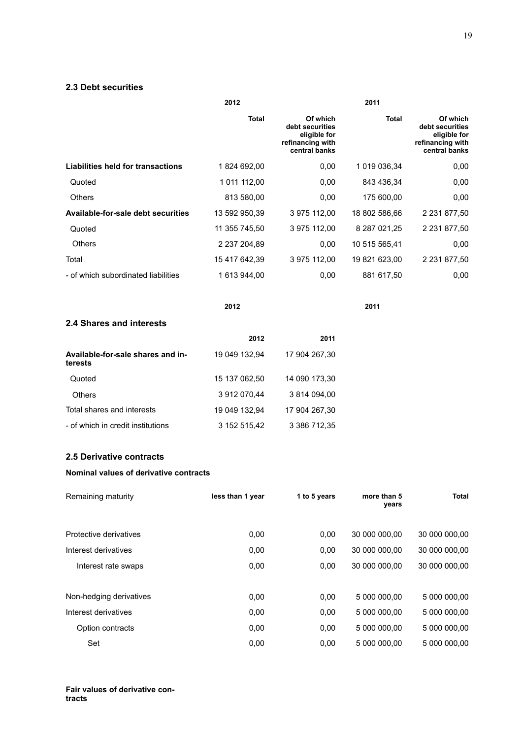# **2.3 Debt securities**

|                                               | 2012             | 2011                                                                             |                      |                                                                                  |
|-----------------------------------------------|------------------|----------------------------------------------------------------------------------|----------------------|----------------------------------------------------------------------------------|
|                                               | Total            | Of which<br>debt securities<br>eligible for<br>refinancing with<br>central banks | Total                | Of which<br>debt securities<br>eligible for<br>refinancing with<br>central banks |
| <b>Liabilities held for transactions</b>      | 1824 692,00      | 0,00                                                                             | 1 019 036,34         | 0,00                                                                             |
| Quoted                                        | 1 011 112,00     | 0,00                                                                             | 843 436,34           | 0,00                                                                             |
| Others                                        | 813 580,00       | 0,00                                                                             | 175 600,00           | 0,00                                                                             |
| <b>Available-for-sale debt securities</b>     | 13 592 950,39    | 3 975 112,00                                                                     | 18 802 586,66        | 2 2 3 1 8 7 7,50                                                                 |
| Quoted                                        | 11 355 745,50    | 3 975 112,00                                                                     | 8 287 021,25         | 2 2 3 1 8 7 7 , 5 0                                                              |
| <b>Others</b>                                 | 2 237 204,89     | 0,00                                                                             | 10 515 565,41        | 0,00                                                                             |
| Total                                         | 15 417 642,39    | 3 975 112,00                                                                     | 19 821 623,00        | 2 2 3 1 8 7 7 , 5 0                                                              |
| - of which subordinated liabilities           | 1 613 944,00     | 0,00                                                                             | 881 617,50           | 0,00                                                                             |
|                                               | 2012             |                                                                                  | 2011                 |                                                                                  |
| 2.4 Shares and interests                      |                  |                                                                                  |                      |                                                                                  |
|                                               | 2012             | 2011                                                                             |                      |                                                                                  |
| Available-for-sale shares and in-<br>terests  | 19 049 132,94    | 17 904 267,30                                                                    |                      |                                                                                  |
| Quoted                                        | 15 137 062,50    | 14 090 173,30                                                                    |                      |                                                                                  |
| Others                                        | 3 912 070,44     | 3 814 094,00                                                                     |                      |                                                                                  |
| Total shares and interests                    | 19 049 132,94    | 17 904 267,30                                                                    |                      |                                                                                  |
| - of which in credit institutions             | 3 152 515,42     | 3 386 712,35                                                                     |                      |                                                                                  |
| <b>2.5 Derivative contracts</b>               |                  |                                                                                  |                      |                                                                                  |
| <b>Nominal values of derivative contracts</b> |                  |                                                                                  |                      |                                                                                  |
| Remaining maturity                            | less than 1 year | 1 to 5 years                                                                     | more than 5<br>years | <b>Total</b>                                                                     |
| Protective derivatives                        | 0,00             | 0,00                                                                             | 30 000 000,00        | 30 000 000,00                                                                    |
| Interest derivatives                          | 0,00             | 0,00                                                                             | 30 000 000,00        | 30 000 000,00                                                                    |

| Interest rate swaps     | 0,00 | 0.00 | 30 000 000,00 | 30 000 000,00 |
|-------------------------|------|------|---------------|---------------|
| Non-hedging derivatives | 0.00 | 0.00 | 5 000 000.00  | 5 000 000,00  |
| Interest derivatives    | 0,00 | 0.00 | 5 000 000.00  | 5 000 000,00  |
| Option contracts        | 0,00 | 0.00 | 5 000 000,00  | 5 000 000,00  |
| Set                     | 0.00 | 0.00 | 5 000 000.00  | 5 000 000,00  |
|                         |      |      |               |               |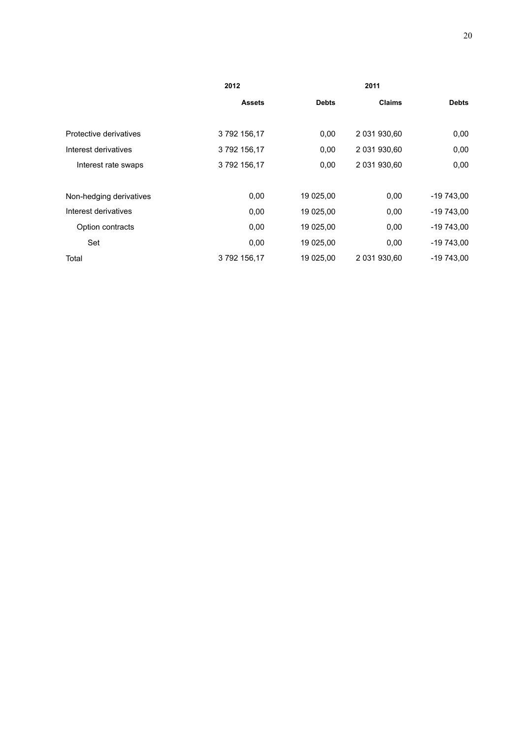|                         | 2012          |              |               |              |
|-------------------------|---------------|--------------|---------------|--------------|
|                         | <b>Assets</b> | <b>Debts</b> | <b>Claims</b> | <b>Debts</b> |
|                         |               |              |               |              |
| Protective derivatives  | 3792156,17    | 0,00         | 2 031 930,60  | 0,00         |
| Interest derivatives    | 3792156,17    | 0,00         | 2 031 930,60  | 0,00         |
| Interest rate swaps     | 3792156,17    | 0,00         | 2 031 930,60  | 0,00         |
|                         |               |              |               |              |
| Non-hedging derivatives | 0,00          | 19 025,00    | 0,00          | $-19743,00$  |
| Interest derivatives    | 0,00          | 19 025,00    | 0,00          | $-19743,00$  |
| Option contracts        | 0,00          | 19 025,00    | 0,00          | $-19743,00$  |
| Set                     | 0,00          | 19 025,00    | 0,00          | $-19743,00$  |
| Total                   | 3792156,17    | 19 025,00    | 2 031 930.60  | -19 743,00   |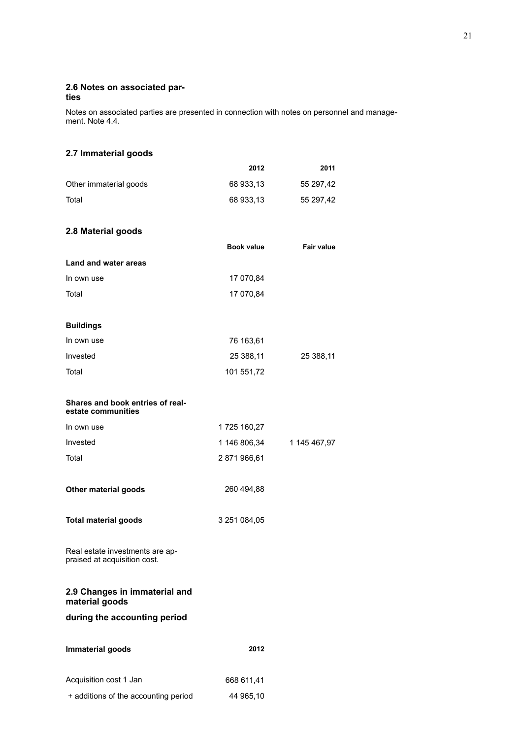#### **2.6 Notes on associated parties**

Notes on associated parties are presented in connection with notes on personnel and management. Note 4.4.

# **2.7 Immaterial goods**

|                                                                 | 2012         | 2011              |
|-----------------------------------------------------------------|--------------|-------------------|
| Other immaterial goods                                          | 68 933,13    | 55 297,42         |
| Total                                                           | 68 933,13    | 55 297,42         |
| 2.8 Material goods                                              |              |                   |
|                                                                 | Book value   | <b>Fair value</b> |
| Land and water areas                                            |              |                   |
| In own use                                                      | 17 070,84    |                   |
| Total                                                           | 17 070,84    |                   |
| <b>Buildings</b>                                                |              |                   |
| In own use                                                      | 76 163,61    |                   |
| Invested                                                        | 25 388,11    | 25 388,11         |
| Total                                                           | 101 551,72   |                   |
| Shares and book entries of real-<br>estate communities          |              |                   |
| In own use                                                      | 1725 160,27  |                   |
| Invested                                                        | 1 146 806,34 | 1 145 467,97      |
| Total                                                           | 2871966,61   |                   |
| Other material goods                                            | 260 494,88   |                   |
| <b>Total material goods</b>                                     | 3 251 084,05 |                   |
| Real estate investments are ap-<br>praised at acquisition cost. |              |                   |
| 2.9 Changes in immaterial and<br>material goods                 |              |                   |
| during the accounting period                                    |              |                   |
| Immaterial goods                                                | 2012         |                   |
| Acquisition cost 1 Jan                                          | 668 611,41   |                   |

```
+ additions of the accounting period 44 965,10
```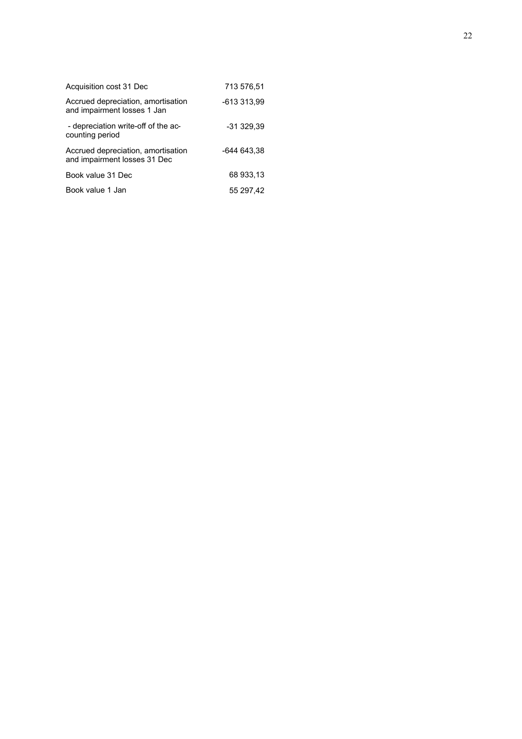| Acquisition cost 31 Dec                                            | 713 576,51  |
|--------------------------------------------------------------------|-------------|
| Accrued depreciation, amortisation<br>and impairment losses 1 Jan  | -613 313,99 |
| - depreciation write-off of the ac-<br>counting period             | $-31329.39$ |
| Accrued depreciation, amortisation<br>and impairment losses 31 Dec | -644 643.38 |
| Book value 31 Dec                                                  | 68 933.13   |
| Book value 1 Jan                                                   | 55 297,42   |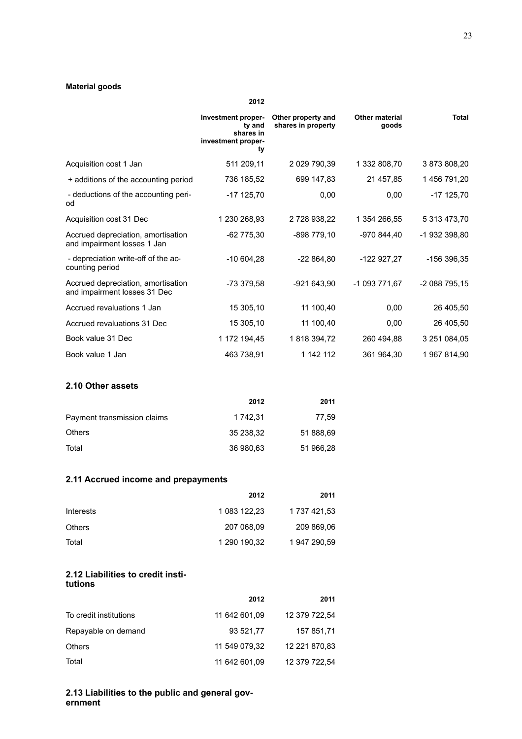# **Material goods**

|                                                                    | Investment proper-<br>ty and<br>shares in<br>investment proper-<br>ty | Other property and<br>shares in property | <b>Other material</b><br>goods | Total         |
|--------------------------------------------------------------------|-----------------------------------------------------------------------|------------------------------------------|--------------------------------|---------------|
| Acquisition cost 1 Jan                                             | 511 209,11                                                            | 2 029 790,39                             | 1 332 808,70                   | 3 873 808,20  |
| + additions of the accounting period                               | 736 185,52                                                            | 699 147,83                               | 21 457,85                      | 1456 791,20   |
| - deductions of the accounting peri-<br>od                         | $-17$ 125,70                                                          | 0,00                                     | 0,00                           | $-17$ 125,70  |
| Acquisition cost 31 Dec                                            | 1 230 268,93                                                          | 2 728 938,22                             | 1 354 266,55                   | 5 313 473,70  |
| Accrued depreciation, amortisation<br>and impairment losses 1 Jan  | $-62775.30$                                                           | -898 779,10                              | -970 844,40                    | -1 932 398,80 |
| - depreciation write-off of the ac-<br>counting period             | $-10604,28$                                                           | -22 864,80                               | -122 927,27                    | -156 396,35   |
| Accrued depreciation, amortisation<br>and impairment losses 31 Dec | -73 379,58                                                            | -921 643,90                              | -1 093 771,67                  | -2 088 795,15 |
| Accrued revaluations 1 Jan                                         | 15 305,10                                                             | 11 100,40                                | 0,00                           | 26 405,50     |
| Accrued revaluations 31 Dec                                        | 15 305,10                                                             | 11 100,40                                | 0,00                           | 26 405,50     |
| Book value 31 Dec                                                  | 1 172 194,45                                                          | 1818 394,72                              | 260 494,88                     | 3 251 084,05  |
| Book value 1 Jan                                                   | 463 738,91                                                            | 1 142 112                                | 361 964,30                     | 1967814,90    |

**2012**

# **2.10 Other assets**

|                             | 2012      | 2011      |
|-----------------------------|-----------|-----------|
| Payment transmission claims | 1 742.31  | 77.59     |
| <b>Others</b>               | 35 238.32 | 51 888,69 |
| Total                       | 36 980,63 | 51 966,28 |

# **2.11 Accrued income and prepayments**

|               | 2012         | 2011         |
|---------------|--------------|--------------|
| Interests     | 1 083 122,23 | 1 737 421,53 |
| <b>Others</b> | 207 068.09   | 209 869,06   |
| Total         | 1 290 190,32 | 1 947 290,59 |

#### **2.12 Liabilities to credit institutions**

|                        | 2012          | 2011          |
|------------------------|---------------|---------------|
| To credit institutions | 11 642 601,09 | 12 379 722,54 |
| Repayable on demand    | 93 521.77     | 157 851,71    |
| <b>Others</b>          | 11 549 079.32 | 12 221 870.83 |
| Total                  | 11 642 601,09 | 12 379 722,54 |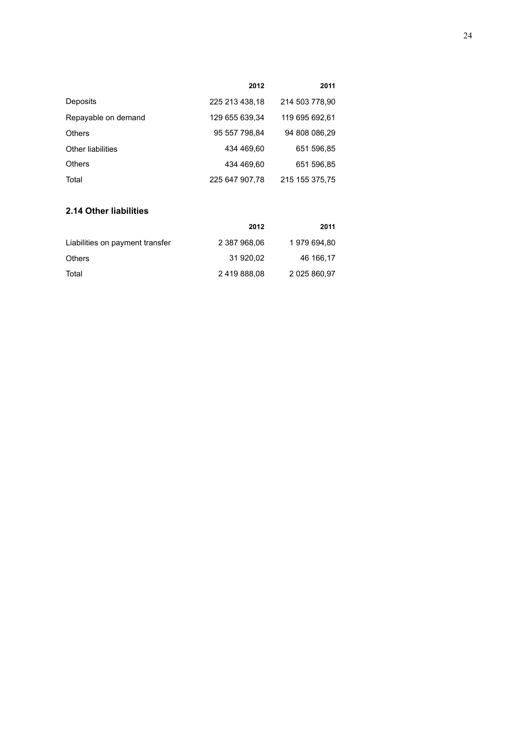|                          | 2012           | 2011           |
|--------------------------|----------------|----------------|
| Deposits                 | 225 213 438,18 | 214 503 778,90 |
| Repayable on demand      | 129 655 639,34 | 119 695 692,61 |
| <b>Others</b>            | 95 557 798.84  | 94 808 086.29  |
| <b>Other liabilities</b> | 434 469.60     | 651 596.85     |
| <b>Others</b>            | 434 469,60     | 651 596,85     |
| Total                    | 225 647 907,78 | 215 155 375,75 |

# **2.14 Other liabilities**

|                                 | 2012         | 2011         |
|---------------------------------|--------------|--------------|
| Liabilities on payment transfer | 2 387 968.06 | 1979 694.80  |
| <b>Others</b>                   | 31 920.02    | 46 166.17    |
| Total                           | 2419888.08   | 2 025 860,97 |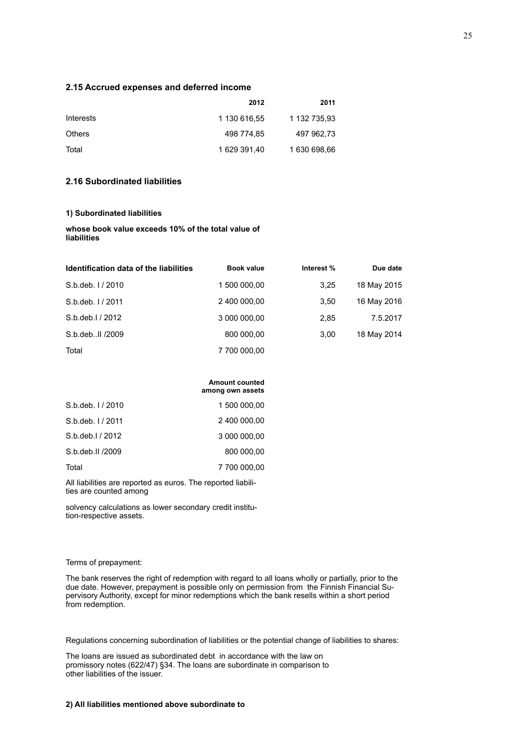#### **2.15 Accrued expenses and deferred income**

|                  | 2012         | 2011         |
|------------------|--------------|--------------|
| <b>Interests</b> | 1 130 616.55 | 1 132 735.93 |
| <b>Others</b>    | 498 774.85   | 497 962.73   |
| Total            | 1 629 391.40 | 1 630 698,66 |

# **2.16 Subordinated liabilities**

#### **1) Subordinated liabilities**

**whose book value exceeds 10% of the total value of liabilities**

| Identification data of the liabilities | <b>Book value</b> | Interest % | Due date    |
|----------------------------------------|-------------------|------------|-------------|
| S.b.deb. 1/2010                        | 1 500 000,00      | 3.25       | 18 May 2015 |
| S.b.deb. 1/2011                        | 2 400 000.00      | 3.50       | 16 May 2016 |
| S.b.deb.I / 2012                       | 3 000 000,00      | 2,85       | 7.5.2017    |
| S.b.debll /2009                        | 800 000.00        | 3,00       | 18 May 2014 |
| Total                                  | 7 700 000,00      |            |             |

#### **Amount counted among own assets**

| S.b.deb. 1/2010  | 1 500 000,00 |
|------------------|--------------|
| S.b.deb. 1/2011  | 2 400 000,00 |
| S.b.deb.I / 2012 | 3 000 000,00 |
| S.b.deb.II /2009 | 800 000.00   |
| Total            | 7 700 000.00 |

All liabilities are reported as euros. The reported liabilities are counted among

solvency calculations as lower secondary credit institution-respective assets.

#### Terms of prepayment:

The bank reserves the right of redemption with regard to all loans wholly or partially, prior to the due date. However, prepayment is possible only on permission from the Finnish Financial Supervisory Authority, except for minor redemptions which the bank resells within a short period from redemption.

Regulations concerning subordination of liabilities or the potential change of liabilities to shares:

The loans are issued as subordinated debt in accordance with the law on promissory notes (622/47) §34. The loans are subordinate in comparison to other liabilities of the issuer.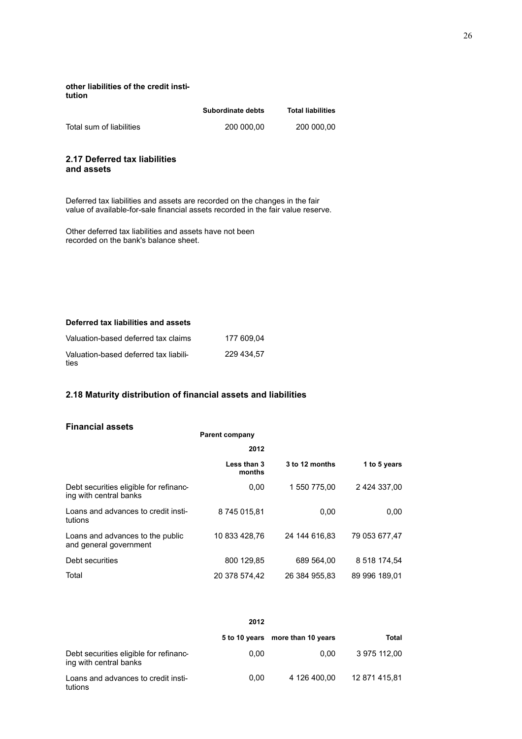#### **other liabilities of the credit institution**

|                          | Subordinate debts | <b>Total liabilities</b> |
|--------------------------|-------------------|--------------------------|
| Total sum of liabilities | 200 000.00        | 200 000.00               |

#### **2.17 Deferred tax liabilities and assets**

Deferred tax liabilities and assets are recorded on the changes in the fair value of available-for-sale financial assets recorded in the fair value reserve.

Other deferred tax liabilities and assets have not been recorded on the bank's balance sheet.

## **Deferred tax liabilities and assets**

| Valuation-based deferred tax claims           | 177 609.04 |
|-----------------------------------------------|------------|
| Valuation-based deferred tax liabili-<br>ties | 229 434.57 |

# **2.18 Maturity distribution of financial assets and liabilities**

#### **Financial assets**

| Financial assets                                                 | <b>Parent company</b> |                |               |
|------------------------------------------------------------------|-----------------------|----------------|---------------|
|                                                                  | 2012                  |                |               |
|                                                                  | Less than 3<br>months | 3 to 12 months | 1 to 5 years  |
| Debt securities eligible for refinanc-<br>ing with central banks | 0,00                  | 1 550 775,00   | 2 424 337,00  |
| Loans and advances to credit insti-<br>tutions                   | 8745015,81            | 0,00           | 0.00          |
| Loans and advances to the public<br>and general government       | 10 833 428.76         | 24 144 616.83  | 79 053 677.47 |
| Debt securities                                                  | 800 129,85            | 689 564,00     | 8 518 174,54  |
| Total                                                            | 20 378 574,42         | 26 384 955,83  | 89 996 189,01 |

|                                                                  | 2012 |                                  |               |
|------------------------------------------------------------------|------|----------------------------------|---------------|
|                                                                  |      | 5 to 10 years more than 10 years | Total         |
| Debt securities eligible for refinanc-<br>ing with central banks | 0,00 | 0.00                             | 3 975 112,00  |
| Loans and advances to credit insti-<br>tutions                   | 0.00 | 4 126 400.00                     | 12 871 415.81 |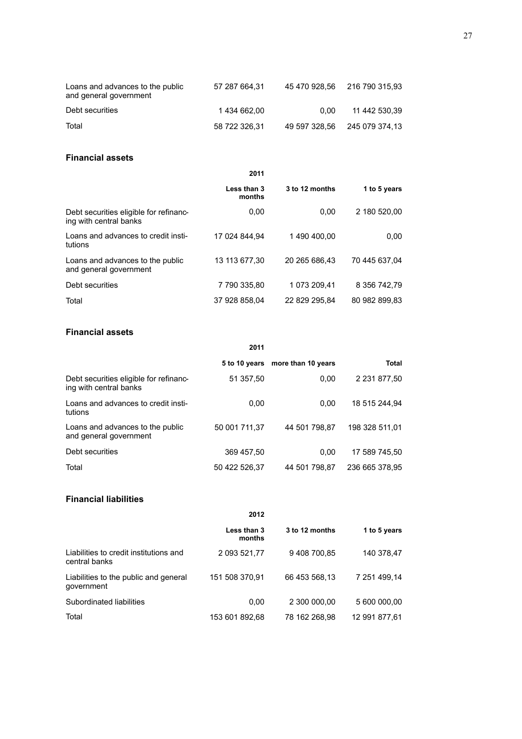| Loans and advances to the public<br>and general government | 57 287 664,31 |      | 45 470 928.56 216 790 315.93 |
|------------------------------------------------------------|---------------|------|------------------------------|
| Debt securities                                            | 1434 662.00   | 0.00 | 11 442 530.39                |
| Total                                                      | 58 722 326.31 |      | 49 597 328.56 245 079 374.13 |

# **Financial assets**

|                                                                  | 2011                  |                |               |
|------------------------------------------------------------------|-----------------------|----------------|---------------|
|                                                                  | Less than 3<br>months | 3 to 12 months | 1 to 5 years  |
| Debt securities eligible for refinanc-<br>ing with central banks | 0,00                  | 0.00           | 2 180 520.00  |
| Loans and advances to credit insti-<br>tutions                   | 17 024 844.94         | 1490400.00     | 0.00          |
| Loans and advances to the public<br>and general government       | 13 113 677.30         | 20 265 686.43  | 70 445 637.04 |
| Debt securities                                                  | 7790335.80            | 1 073 209.41   | 8 356 742.79  |
| Total                                                            | 37 928 858.04         | 22 829 295.84  | 80 982 899.83 |

# **Financial assets**

|                                                                  |               | 5 to 10 years more than 10 years | <b>Total</b>   |
|------------------------------------------------------------------|---------------|----------------------------------|----------------|
| Debt securities eligible for refinanc-<br>ing with central banks | 51 357.50     | 0.00                             | 2 231 877.50   |
| Loans and advances to credit insti-<br>tutions                   | 0,00          | 0.00                             | 18 515 244,94  |
| Loans and advances to the public<br>and general government       | 50 001 711.37 | 44 501 798.87                    | 198 328 511.01 |
| Debt securities                                                  | 369 457.50    | 0.00                             | 17 589 745.50  |
| Total                                                            | 50 422 526.37 | 44 501 798.87                    | 236 665 378.95 |

# **Financial liabilities**

**2012**

|                                                         | Less than 3<br>months | 3 to 12 months | 1 to 5 years  |
|---------------------------------------------------------|-----------------------|----------------|---------------|
| Liabilities to credit institutions and<br>central banks | 2 093 521,77          | 9408700.85     | 140 378,47    |
| Liabilities to the public and general<br>qovernment     | 151 508 370,91        | 66 453 568.13  | 7 251 499,14  |
| Subordinated liabilities                                | 0.00                  | 2 300 000,00   | 5 600 000,00  |
| Total                                                   | 153 601 892,68        | 78 162 268.98  | 12 991 877.61 |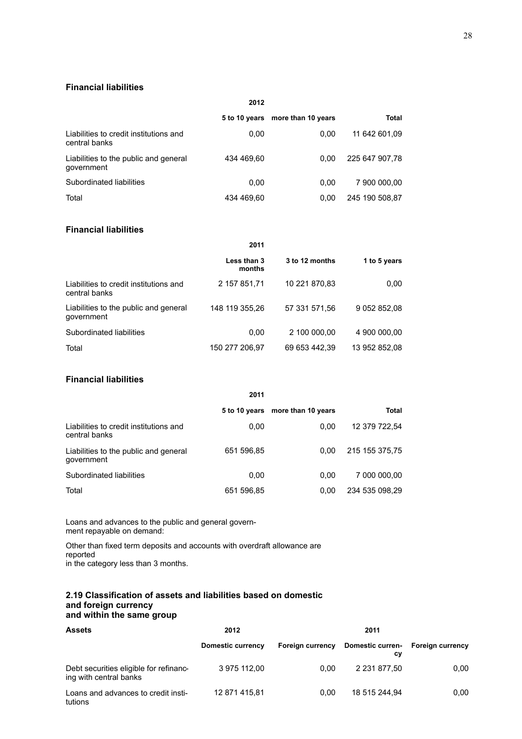# **Financial liabilities**

| 2012                                                    |               |                    |                |  |  |
|---------------------------------------------------------|---------------|--------------------|----------------|--|--|
|                                                         | 5 to 10 years | more than 10 years | Total          |  |  |
| Liabilities to credit institutions and<br>central banks | 0.00          | 0.00               | 11 642 601.09  |  |  |
| Liabilities to the public and general<br>qovernment     | 434 469.60    | 0.00               | 225 647 907.78 |  |  |
| Subordinated liabilities                                | 0.00          | 0.00               | 7 900 000,00   |  |  |
| Total                                                   | 434 469.60    | 0.00               | 245 190 508.87 |  |  |

# **Financial liabilities**

|                                                         | Less than 3<br>months | 3 to 12 months | 1 to 5 years  |
|---------------------------------------------------------|-----------------------|----------------|---------------|
| Liabilities to credit institutions and<br>central banks | 2 157 851,71          | 10 221 870,83  | 0,00          |
| Liabilities to the public and general<br>qovernment     | 148 119 355,26        | 57 331 571,56  | 9 052 852,08  |
| Subordinated liabilities                                | 0,00                  | 2 100 000,00   | 4 900 000,00  |
| Total                                                   | 150 277 206.97        | 69 653 442,39  | 13 952 852.08 |

# **Financial liabilities**

|                                                         | 2011          |                    |                |
|---------------------------------------------------------|---------------|--------------------|----------------|
|                                                         | 5 to 10 years | more than 10 years | Total          |
| Liabilities to credit institutions and<br>central banks | 0.00          | 0.00               | 12 379 722.54  |
| Liabilities to the public and general<br>qovernment     | 651 596,85    | 0.00               | 215 155 375,75 |
| Subordinated liabilities                                | 0.00          | 0.00               | 7 000 000,00   |
| Total                                                   | 651 596,85    | 0.00               | 234 535 098.29 |

Loans and advances to the public and general government repayable on demand:

Other than fixed term deposits and accounts with overdraft allowance are reported in the category less than 3 months.

#### **2.19 Classification of assets and liabilities based on domestic and foreign currency and within the same group**

| <b>Assets</b>                                                    | 2012              | 2011                    |                        |                         |
|------------------------------------------------------------------|-------------------|-------------------------|------------------------|-------------------------|
|                                                                  | Domestic currency | <b>Foreign currency</b> | Domestic curren-<br>сy | <b>Foreign currency</b> |
| Debt securities eligible for refinanc-<br>ing with central banks | 3 975 112.00      | 0.00                    | 2 231 877.50           | 0.00                    |
| Loans and advances to credit insti-<br>tutions                   | 12 871 415.81     | 0.00                    | 18 515 244.94          | 0.00                    |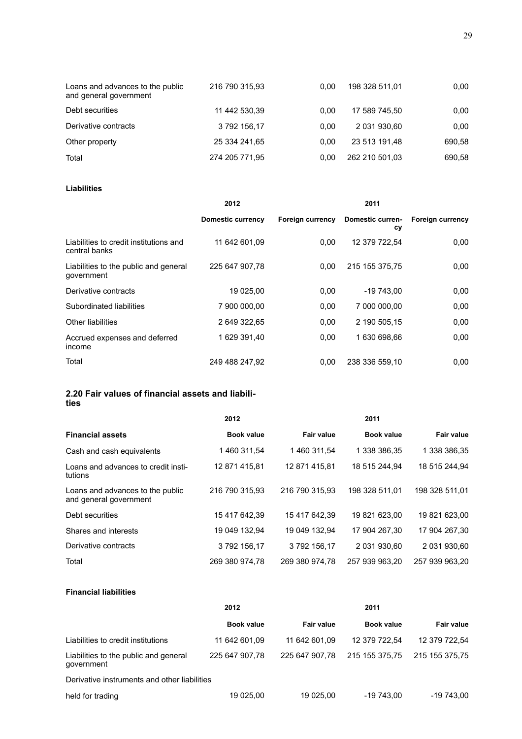| Loans and advances to the public<br>and general government | 216 790 315,93 | 0.00 | 198 328 511,01 | 0,00   |
|------------------------------------------------------------|----------------|------|----------------|--------|
| Debt securities                                            | 11 442 530,39  | 0.00 | 17 589 745.50  | 0,00   |
| Derivative contracts                                       | 3792156.17     | 0.00 | 2 031 930,60   | 0,00   |
| Other property                                             | 25 334 241.65  | 0.00 | 23 513 191.48  | 690.58 |
| Total                                                      | 274 205 771.95 | 0.00 | 262 210 501.03 | 690,58 |

# **Liabilities**

|                                                         | 2012              |                         | 2011                   |                         |  |
|---------------------------------------------------------|-------------------|-------------------------|------------------------|-------------------------|--|
|                                                         | Domestic currency | <b>Foreign currency</b> | Domestic curren-<br>сy | <b>Foreign currency</b> |  |
| Liabilities to credit institutions and<br>central banks | 11 642 601.09     | 0.00                    | 12 379 722.54          | 0,00                    |  |
| Liabilities to the public and general<br>government     | 225 647 907,78    | 0.00                    | 215 155 375,75         | 0,00                    |  |
| Derivative contracts                                    | 19 025,00         | 0,00                    | $-19743,00$            | 0,00                    |  |
| Subordinated liabilities                                | 7 900 000.00      | 0,00                    | 7 000 000.00           | 0,00                    |  |
| Other liabilities                                       | 2 649 322.65      | 0,00                    | 2 190 505,15           | 0,00                    |  |
| Accrued expenses and deferred<br>income                 | 1 629 391,40      | 0,00                    | 1 630 698.66           | 0,00                    |  |
| Total                                                   | 249 488 247,92    | 0.00                    | 238 336 559,10         | 0,00                    |  |
|                                                         |                   |                         |                        |                         |  |

# **2.20 Fair values of financial assets and liabilities**

|                                                            | 2012              |                   | 2011              |                |
|------------------------------------------------------------|-------------------|-------------------|-------------------|----------------|
| <b>Financial assets</b>                                    | <b>Book value</b> | <b>Fair value</b> | <b>Book value</b> | Fair value     |
| Cash and cash equivalents                                  | 1460 311.54       | 1460 311.54       | 1 338 386.35      | 1 338 386,35   |
| Loans and advances to credit insti-<br>tutions             | 12 871 415.81     | 12 871 415,81     | 18 515 244.94     | 18 515 244.94  |
| Loans and advances to the public<br>and general government | 216 790 315.93    | 216 790 315.93    | 198 328 511.01    | 198 328 511.01 |
| Debt securities                                            | 15 417 642,39     | 15 417 642,39     | 19 821 623,00     | 19 821 623,00  |
| Shares and interests                                       | 19 049 132.94     | 19 049 132.94     | 17 904 267.30     | 17 904 267.30  |
| Derivative contracts                                       | 3792156.17        | 3792156.17        | 2 031 930.60      | 2 031 930.60   |
| Total                                                      | 269 380 974.78    | 269 380 974.78    | 257 939 963,20    | 257 939 963.20 |

#### **Financial liabilities**

|                                                     | 2012              |                   | 2011           |                   |  |
|-----------------------------------------------------|-------------------|-------------------|----------------|-------------------|--|
|                                                     | <b>Book value</b> | <b>Fair value</b> | Book value     | <b>Fair value</b> |  |
| Liabilities to credit institutions                  | 11 642 601.09     | 11 642 601.09     | 12 379 722.54  | 12 379 722.54     |  |
| Liabilities to the public and general<br>government | 225 647 907.78    | 225 647 907.78    | 215 155 375.75 | 215 155 375.75    |  |
| Derivative instruments and other liabilities        |                   |                   |                |                   |  |
| held for trading                                    | 19 025,00         | 19 025,00         | $-19743.00$    | $-19743.00$       |  |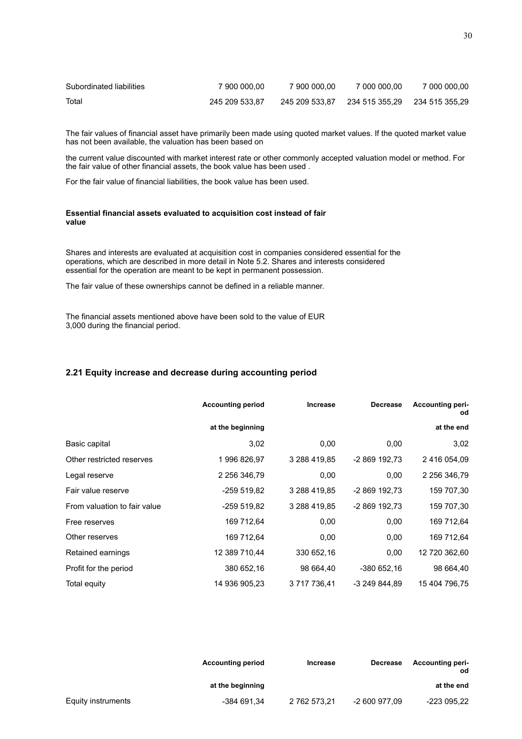| Subordinated liabilities | 7 900 000.00   | 7 900 000.00   | 7 000 000.00                  | 7 000 000.00 |
|--------------------------|----------------|----------------|-------------------------------|--------------|
| Total                    | 245 209 533.87 | 245 209 533.87 | 234 515 355.29 234 515 355.29 |              |

The fair values of financial asset have primarily been made using quoted market values. If the quoted market value has not been available, the valuation has been based on

the current value discounted with market interest rate or other commonly accepted valuation model or method. For the fair value of other financial assets, the book value has been used .

For the fair value of financial liabilities, the book value has been used.

#### **Essential financial assets evaluated to acquisition cost instead of fair value**

Shares and interests are evaluated at acquisition cost in companies considered essential for the operations, which are described in more detail in Note 5.2. Shares and interests considered essential for the operation are meant to be kept in permanent possession.

The fair value of these ownerships cannot be defined in a reliable manner.

The financial assets mentioned above have been sold to the value of EUR 3,000 during the financial period.

# **2.21 Equity increase and decrease during accounting period**

|                              | <b>Accounting period</b> | <b>Increase</b> | <b>Decrease</b> | <b>Accounting peri-</b><br>od |
|------------------------------|--------------------------|-----------------|-----------------|-------------------------------|
|                              | at the beginning         |                 |                 | at the end                    |
| Basic capital                | 3,02                     | 0,00            | 0,00            | 3,02                          |
| Other restricted reserves    | 1996 826,97              | 3 288 419,85    | -2 869 192,73   | 2 416 054,09                  |
| Legal reserve                | 2 256 346,79             | 0,00            | 0,00            | 2 256 346,79                  |
| Fair value reserve           | -259 519,82              | 3 288 419,85    | -2 869 192,73   | 159 707,30                    |
| From valuation to fair value | -259 519,82              | 3 288 419,85    | -2 869 192,73   | 159 707,30                    |
| Free reserves                | 169 712,64               | 0,00            | 0,00            | 169 712,64                    |
| Other reserves               | 169 712,64               | 0,00            | 0,00            | 169 712,64                    |
| Retained earnings            | 12 389 710,44            | 330 652,16      | 0,00            | 12 720 362,60                 |
| Profit for the period        | 380 652,16               | 98 664,40       | -380 652,16     | 98 664,40                     |
| Total equity                 | 14 936 905,23            | 3 717 736,41    | -3 249 844,89   | 15 404 796.75                 |

|                    | <b>Accounting period</b> | <b>Increase</b> | <b>Decrease</b> | <b>Accounting peri-</b><br>od |
|--------------------|--------------------------|-----------------|-----------------|-------------------------------|
|                    | at the beginning         |                 |                 | at the end                    |
| Equity instruments | -384 691,34              | 2 762 573,21    | -2 600 977.09   | -223 095,22                   |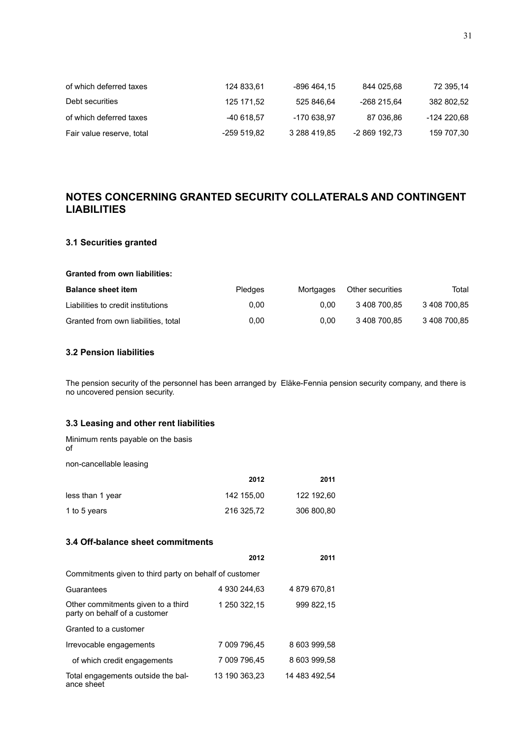| of which deferred taxes   | 124 833.61  | -896 464.15  | 844 025.68    | 72 395.14   |
|---------------------------|-------------|--------------|---------------|-------------|
| Debt securities           | 125 171.52  | 525 846,64   | -268 215.64   | 382 802.52  |
| of which deferred taxes   | -40 618.57  | -170 638,97  | 87 036.86     | -124 220,68 |
| Fair value reserve, total | -259 519,82 | 3 288 419,85 | -2 869 192,73 | 159 707,30  |

# **NOTES CONCERNING GRANTED SECURITY COLLATERALS AND CONTINGENT LIABILITIES**

# **3.1 Securities granted**

#### **Granted from own liabilities:**

| <b>Balance sheet item</b>           | <b>Pledges</b> | Mortgages | Other securities | Total        |
|-------------------------------------|----------------|-----------|------------------|--------------|
| Liabilities to credit institutions  | 0.00           | 0.00      | 3 408 700.85     | 3 408 700.85 |
| Granted from own liabilities, total | 0.00           | 0.00      | 3 408 700.85     | 3 408 700,85 |

# **3.2 Pension liabilities**

The pension security of the personnel has been arranged by Eläke-Fennia pension security company, and there is no uncovered pension security.

# **3.3 Leasing and other rent liabilities**

| Minimum rents payable on the basis<br>of |            |            |
|------------------------------------------|------------|------------|
| non-cancellable leasing                  |            |            |
|                                          | 2012       | 2011       |
| less than 1 year                         | 142 155,00 | 122 192,60 |
| 1 to 5 years                             | 216 325,72 | 306 800,80 |
| 3.4 Off-balance sheet commitments        |            |            |
|                                          |            |            |

|                                                                     | 2012          | 2011          |
|---------------------------------------------------------------------|---------------|---------------|
| Commitments given to third party on behalf of customer              |               |               |
| Guarantees                                                          | 4 930 244.63  | 4 879 670,81  |
| Other commitments given to a third<br>party on behalf of a customer | 1 250 322.15  | 999 822.15    |
| Granted to a customer                                               |               |               |
| Irrevocable engagements                                             | 7 009 796.45  | 8 603 999.58  |
| of which credit engagements                                         | 7 009 796.45  | 8 603 999,58  |
| Total engagements outside the bal-<br>ance sheet                    | 13 190 363.23 | 14 483 492.54 |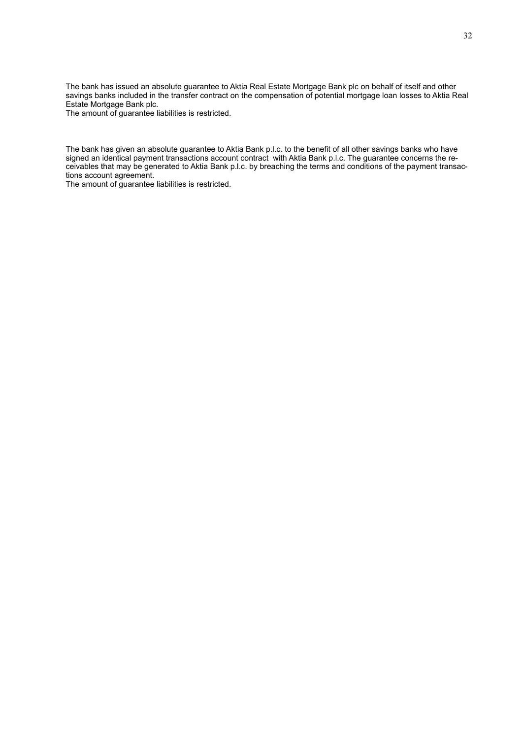The bank has issued an absolute guarantee to Aktia Real Estate Mortgage Bank plc on behalf of itself and other savings banks included in the transfer contract on the compensation of potential mortgage loan losses to Aktia Real Estate Mortgage Bank plc.

The amount of guarantee liabilities is restricted.

The bank has given an absolute guarantee to Aktia Bank p.l.c. to the benefit of all other savings banks who have signed an identical payment transactions account contract with Aktia Bank p.l.c. The guarantee concerns the receivables that may be generated to Aktia Bank p.l.c. by breaching the terms and conditions of the payment transactions account agreement.

The amount of guarantee liabilities is restricted.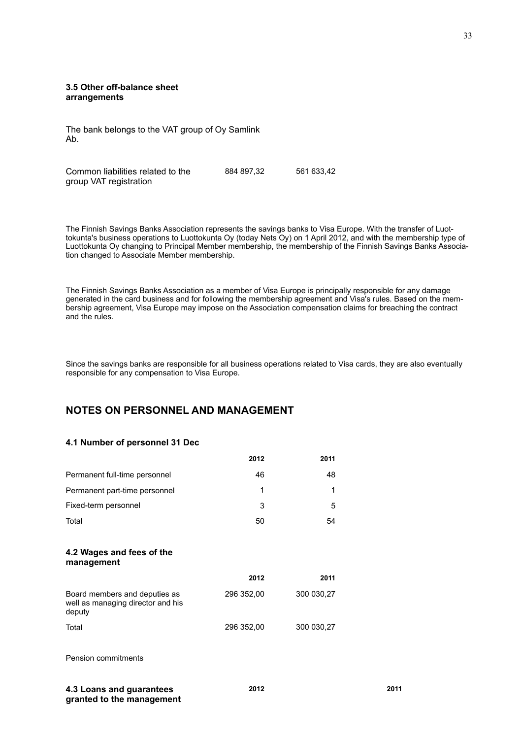#### **3.5 Other off-balance sheet arrangements**

The bank belongs to the VAT group of Oy Samlink Ab.

Common liabilities related to the group VAT registration 884 897,32 561 633,42

The Finnish Savings Banks Association represents the savings banks to Visa Europe. With the transfer of Luottokunta's business operations to Luottokunta Oy (today Nets Oy) on 1 April 2012, and with the membership type of Luottokunta Oy changing to Principal Member membership, the membership of the Finnish Savings Banks Association changed to Associate Member membership.

The Finnish Savings Banks Association as a member of Visa Europe is principally responsible for any damage generated in the card business and for following the membership agreement and Visa's rules. Based on the membership agreement, Visa Europe may impose on the Association compensation claims for breaching the contract and the rules.

Since the savings banks are responsible for all business operations related to Visa cards, they are also eventually responsible for any compensation to Visa Europe.

# **NOTES ON PERSONNEL AND MANAGEMENT**

#### **4.1 Number of personnel 31 Dec**

|                                                                              | 2012       | 2011       |
|------------------------------------------------------------------------------|------------|------------|
| Permanent full-time personnel                                                | 46         | 48         |
| Permanent part-time personnel                                                | 1          | 1          |
| Fixed-term personnel                                                         | 3          | 5          |
| Total                                                                        | 50         | 54         |
| 4.2 Wages and fees of the<br>management                                      |            |            |
|                                                                              | 2012       | 2011       |
| Board members and deputies as<br>well as managing director and his<br>deputy | 296 352,00 | 300 030,27 |
| Total                                                                        | 296 352,00 | 300 030,27 |
| Pension commitments                                                          |            |            |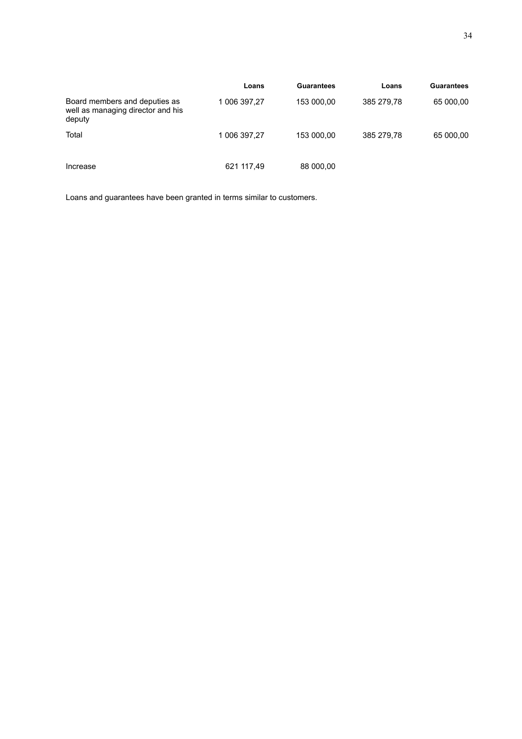|                                                                              | Loans        | Guarantees | Loans      | <b>Guarantees</b> |
|------------------------------------------------------------------------------|--------------|------------|------------|-------------------|
| Board members and deputies as<br>well as managing director and his<br>deputy | 1 006 397,27 | 153 000,00 | 385 279.78 | 65 000,00         |
| Total                                                                        | 1 006 397,27 | 153 000,00 | 385 279,78 | 65 000,00         |
| Increase                                                                     | 621 117,49   | 88 000,00  |            |                   |

Loans and guarantees have been granted in terms similar to customers.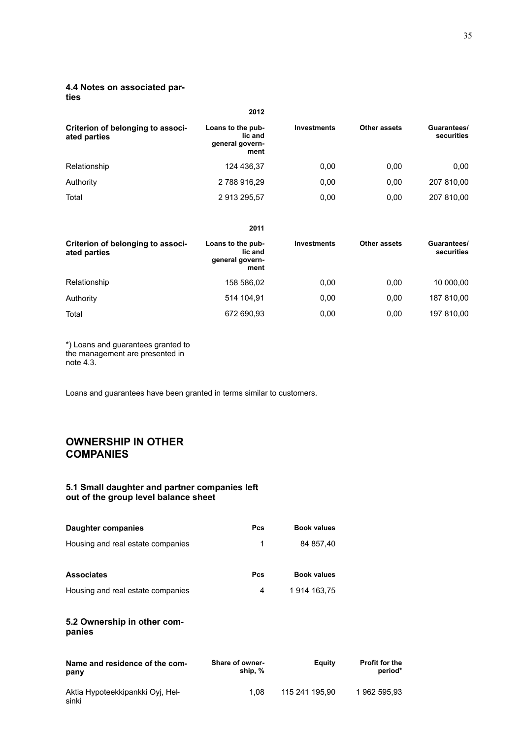# **4.4 Notes on associated par-**

**ties**

|                                                   | 2012                                                    |                    |              |                           |
|---------------------------------------------------|---------------------------------------------------------|--------------------|--------------|---------------------------|
| Criterion of belonging to associ-<br>ated parties | Loans to the pub-<br>lic and<br>general govern-<br>ment | <b>Investments</b> | Other assets | Guarantees/<br>securities |
| Relationship                                      | 124 436,37                                              | 0.00               | 0.00         | 0,00                      |
| Authority                                         | 2788916,29                                              | 0.00               | 0.00         | 207 810,00                |
| Total                                             | 2913295,57                                              | 0.00               | 0.00         | 207 810,00                |

|                                                   | 2011                                                    |                    |              |                           |
|---------------------------------------------------|---------------------------------------------------------|--------------------|--------------|---------------------------|
| Criterion of belonging to associ-<br>ated parties | Loans to the pub-<br>lic and<br>general govern-<br>ment | <b>Investments</b> | Other assets | Guarantees/<br>securities |
| Relationship                                      | 158 586,02                                              | 0.00               | 0.00         | 10 000,00                 |
| Authority                                         | 514 104,91                                              | 0.00               | 0.00         | 187 810,00                |
| Total                                             | 672 690,93                                              | 0,00               | 0.00         | 197 810,00                |

\*) Loans and guarantees granted to the management are presented in note 4.3.

Loans and guarantees have been granted in terms similar to customers.

# **OWNERSHIP IN OTHER COMPANIES**

#### **5.1 Small daughter and partner companies left out of the group level balance sheet**

| Daughter companies                        | <b>Pcs</b>                 | <b>Book values</b> |                                  |
|-------------------------------------------|----------------------------|--------------------|----------------------------------|
| Housing and real estate companies         | 1                          | 84 857,40          |                                  |
| <b>Associates</b>                         | <b>Pcs</b>                 | <b>Book values</b> |                                  |
| Housing and real estate companies         | 4                          | 1 914 163,75       |                                  |
| 5.2 Ownership in other com-<br>panies     |                            |                    |                                  |
| Name and residence of the com-<br>pany    | Share of owner-<br>ship, % | <b>Equity</b>      | <b>Profit for the</b><br>period* |
| Aktia Hypoteekkipankki Oyj, Hel-<br>sinki | 1,08                       | 115 241 195,90     | 1 962 595,93                     |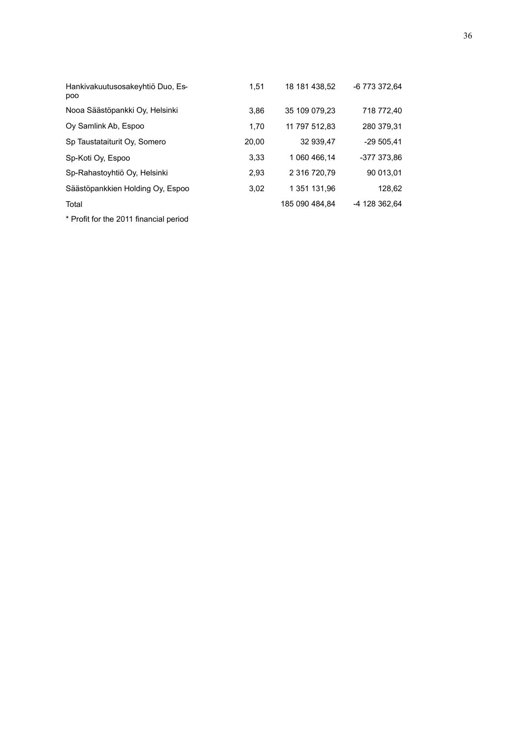| Hankivakuutusosakeyhtiö Duo, Es-<br>poo | 1.51  | 18 181 438.52  | -6 773 372.64 |
|-----------------------------------------|-------|----------------|---------------|
| Nooa Säästöpankki Oy, Helsinki          | 3,86  | 35 109 079.23  | 718 772,40    |
| Oy Samlink Ab, Espoo                    | 1,70  | 11 797 512.83  | 280 379,31    |
| Sp Taustataiturit Oy, Somero            | 20,00 | 32 939,47      | $-29505.41$   |
| Sp-Koti Oy, Espoo                       | 3,33  | 1 060 466,14   | -377 373,86   |
| Sp-Rahastoyhtiö Oy, Helsinki            | 2,93  | 2 316 720,79   | 90 013,01     |
| Säästöpankkien Holding Oy, Espoo        | 3.02  | 1 351 131.96   | 128,62        |
| Total                                   |       | 185 090 484.84 | -4 128 362.64 |
| * Profit for the 2011 financial period  |       |                |               |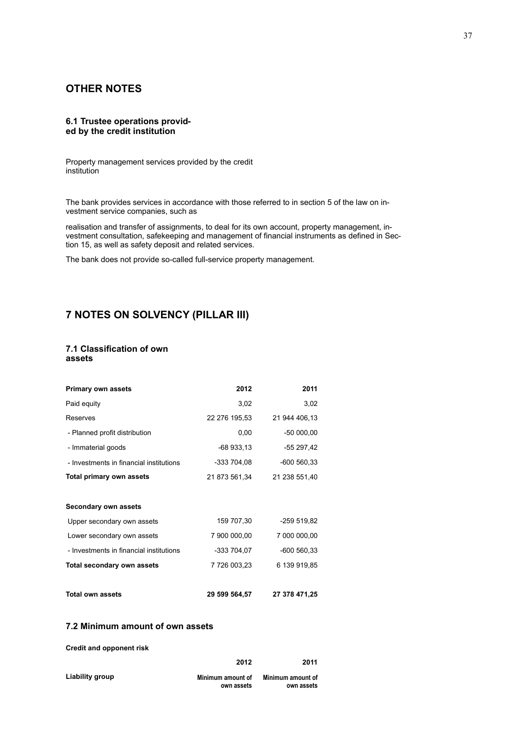# **OTHER NOTES**

#### **6.1 Trustee operations provided by the credit institution**

Property management services provided by the credit institution

The bank provides services in accordance with those referred to in section 5 of the law on investment service companies, such as

realisation and transfer of assignments, to deal for its own account, property management, investment consultation, safekeeping and management of financial instruments as defined in Section 15, as well as safety deposit and related services.

The bank does not provide so-called full-service property management.

# **7 NOTES ON SOLVENCY (PILLAR III)**

#### **7.1 Classification of own assets**

| <b>Primary own assets</b>               | 2012          | 2011          |
|-----------------------------------------|---------------|---------------|
| Paid equity                             | 3,02          | 3,02          |
| Reserves                                | 22 276 195,53 | 21 944 406,13 |
| - Planned profit distribution           | 0,00          | $-5000000$    |
| - Immaterial goods                      | $-68933.13$   | -55 297,42    |
| - Investments in financial institutions | -333 704,08   | $-600560,33$  |
| Total primary own assets                | 21 873 561,34 | 21 238 551,40 |
|                                         |               |               |
| Secondary own assets                    |               |               |
| Upper secondary own assets              | 159 707,30    | -259 519,82   |
| Lower secondary own assets              | 7 900 000,00  | 7 000 000,00  |
| - Investments in financial institutions | -333 704,07   | $-600560.33$  |
| Total secondary own assets              | 7 726 003,23  | 6 139 919,85  |
|                                         |               |               |
| <b>Total own assets</b>                 | 29 599 564,57 | 27 378 471,25 |

#### **7.2 Minimum amount of own assets**

|                 | 2012                            | 2011                            |
|-----------------|---------------------------------|---------------------------------|
| Liability group | Minimum amount of<br>own assets | Minimum amount of<br>own assets |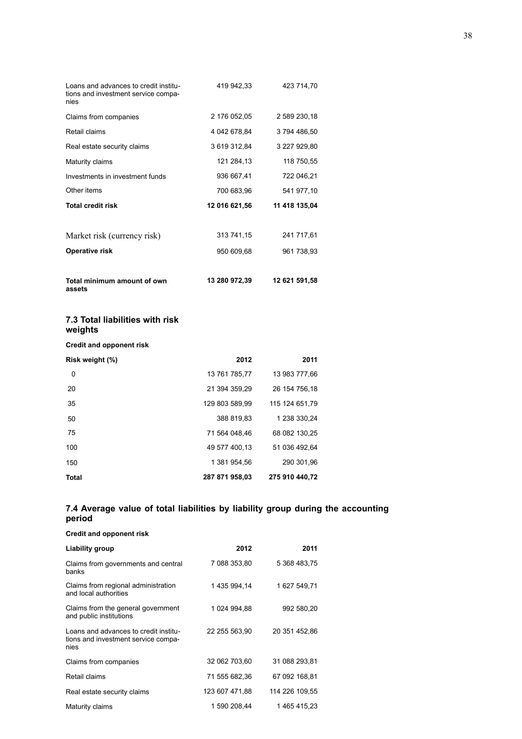| Loans and advances to credit institu-<br>tions and investment service compa-<br>nies | 419 942,33    | 423 714,70    |
|--------------------------------------------------------------------------------------|---------------|---------------|
| Claims from companies                                                                | 2 176 052,05  | 2 589 230 18  |
| Retail claims                                                                        | 4 042 678,84  | 3794486,50    |
| Real estate security claims                                                          | 3 619 312,84  | 3 227 929,80  |
| Maturity claims                                                                      | 121 284,13    | 118 750,55    |
| Investments in investment funds                                                      | 936 667,41    | 722 046,21    |
| Other items                                                                          | 700 683,96    | 541 977,10    |
| <b>Total credit risk</b>                                                             | 12 016 621,56 | 11 418 135,04 |
|                                                                                      |               |               |
| Market risk (currency risk)                                                          | 313 741,15    | 241 717,61    |
| Operative risk                                                                       | 950 609,68    | 961 738,93    |
|                                                                                      |               |               |
| Total minimum amount of own<br>assets                                                | 13 280 972,39 | 12 621 591,58 |
| 7.3 Total liabilities with risk<br>weights                                           |               |               |
| <b>Credit and opponent risk</b>                                                      |               |               |

| Risk weight (%) | 2012           | 2011           |
|-----------------|----------------|----------------|
| 0               | 13 761 785.77  | 13 983 777.66  |
| 20              | 21 394 359.29  | 26 154 756 18  |
| 35              | 129 803 589.99 | 115 124 651.79 |
| 50              | 388 819.83     | 1 238 330.24   |
| 75              | 71 564 048.46  | 68 082 130,25  |
| 100             | 49 577 400.13  | 51 036 492.64  |
| 150             | 1 381 954.56   | 290 301.96     |
| <b>Total</b>    | 287 871 958.03 | 275 910 440.72 |

#### **7.4 Average value of total liabilities by liability group during the accounting period**

| Liability group                                                                      | 2012           | 2011           |
|--------------------------------------------------------------------------------------|----------------|----------------|
| Claims from governments and central<br>banks                                         | 7 088 353,80   | 5 368 483,75   |
| Claims from regional administration<br>and local authorities                         | 1 435 994 14   | 1 627 549,71   |
| Claims from the general government<br>and public institutions                        | 1 024 994,88   | 992 580,20     |
| Loans and advances to credit institu-<br>tions and investment service compa-<br>nies | 22 255 563,90  | 20 351 452,86  |
| Claims from companies                                                                | 32 062 703,60  | 31 088 293,81  |
| Retail claims                                                                        | 71 555 682,36  | 67 092 168,81  |
| Real estate security claims                                                          | 123 607 471,88 | 114 226 109,55 |
| Maturity claims                                                                      | 1 590 208,44   | 1 465 415,23   |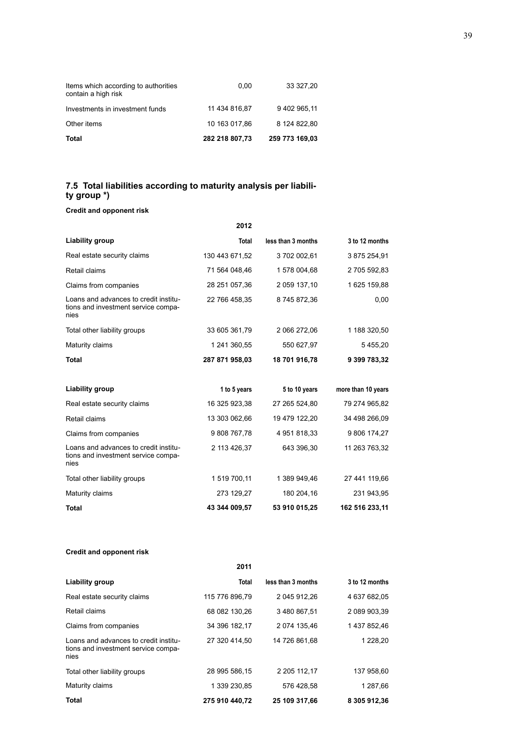| Total                                                       | 282 218 807,73 | 259 773 169,03 |
|-------------------------------------------------------------|----------------|----------------|
| Other items                                                 | 10 163 017.86  | 8 124 822.80   |
| Investments in investment funds                             | 11 434 816.87  | 9 402 965.11   |
| Items which according to authorities<br>contain a high risk | 0.00           | 33 327,20      |

# **7.5 Total liabilities according to maturity analysis per liability group \*)**

# **Credit and opponent risk**

| <b>Total</b>   | less than 3 months | 3 to 12 months     |
|----------------|--------------------|--------------------|
| 130 443 671,52 | 3702002,61         | 3 875 254,91       |
| 71 564 048,46  | 1 578 004,68       | 2705 592,83        |
| 28 251 057,36  | 2 059 137,10       | 1625 159,88        |
| 22 766 458,35  | 8745872,36         | 0,00               |
| 33 605 361,79  | 2 066 272,06       | 1 188 320,50       |
| 1 241 360,55   | 550 627,97         | 5455,20            |
| 287 871 958,03 | 18 701 916,78      | 9 399 783,32       |
|                |                    |                    |
| 1 to 5 years   | 5 to 10 years      | more than 10 years |
| 16 325 923,38  | 27 265 524,80      | 79 274 965,82      |
| 13 303 062,66  | 19 479 122,20      | 34 498 266,09      |
| 9808767.78     | 4 951 818,33       | 9 806 174,27       |
| 2 113 426,37   | 643 396,30         | 11 263 763,32      |
| 1 519 700,11   | 1 389 949,46       | 27 441 119,66      |
| 273 129,27     | 180 204,16         | 231 943 95         |
| 43 344 009,57  | 53 910 015,25      | 162 516 233.11     |
|                | 2012               |                    |

|                                                                                      | 2011           |                    |                |
|--------------------------------------------------------------------------------------|----------------|--------------------|----------------|
| Liability group                                                                      | Total          | less than 3 months | 3 to 12 months |
| Real estate security claims                                                          | 115 776 896.79 | 2 045 912.26       | 4 637 682.05   |
| Retail claims                                                                        | 68 082 130.26  | 3 480 867,51       | 2 089 903.39   |
| Claims from companies                                                                | 34 396 182,17  | 2 074 135.46       | 1 437 852,46   |
| Loans and advances to credit institu-<br>tions and investment service compa-<br>nies | 27 320 414.50  | 14 726 861.68      | 1 228,20       |
| Total other liability groups                                                         | 28 995 586.15  | 2 205 112.17       | 137 958.60     |
| Maturity claims                                                                      | 1 339 230,85   | 576 428.58         | 1 287,66       |
| Total                                                                                | 275 910 440,72 | 25 109 317,66      | 8 305 912,36   |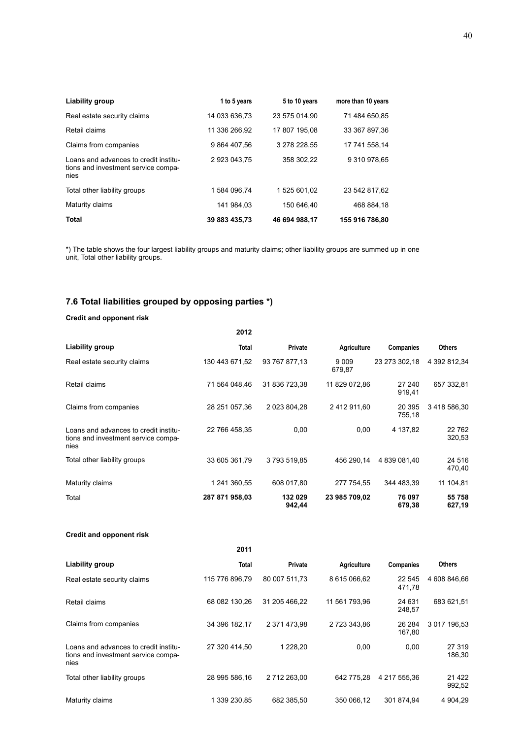| Liability group                                                                      | 1 to 5 years  | 5 to 10 years | more than 10 years |
|--------------------------------------------------------------------------------------|---------------|---------------|--------------------|
| Real estate security claims                                                          | 14 033 636.73 | 23 575 014.90 | 71 484 650.85      |
| Retail claims                                                                        | 11 336 266.92 | 17 807 195.08 | 33 367 897.36      |
| Claims from companies                                                                | 9 864 407.56  | 3 278 228.55  | 17 741 558 14      |
| Loans and advances to credit institu-<br>tions and investment service compa-<br>nies | 2923043.75    | 358 302.22    | 9 310 978,65       |
| Total other liability groups                                                         | 1584 096.74   | 1 525 601.02  | 23 542 817.62      |
| Maturity claims                                                                      | 141 984.03    | 150 646.40    | 468 884.18         |
| <b>Total</b>                                                                         | 39 883 435.73 | 46 694 988.17 | 155 916 786.80     |

\*) The table shows the four largest liability groups and maturity claims; other liability groups are summed up in one unit, Total other liability groups.

# **7.6 Total liabilities grouped by opposing parties \*)**

#### **Credit and opponent risk**

|                                                                                      | 2012           |                   |                    |                  |                   |
|--------------------------------------------------------------------------------------|----------------|-------------------|--------------------|------------------|-------------------|
| Liability group                                                                      | Total          | Private           | <b>Agriculture</b> | <b>Companies</b> | <b>Others</b>     |
| Real estate security claims                                                          | 130 443 671,52 | 93 767 877,13     | 9 0 0 9<br>679,87  | 23 273 302,18    | 4 392 812,34      |
| Retail claims                                                                        | 71 564 048.46  | 31 836 723,38     | 11 829 072,86      | 27 240<br>919,41 | 657 332,81        |
| Claims from companies                                                                | 28 251 057,36  | 2 023 804,28      | 2 412 911,60       | 20 395<br>755,18 | 3418586,30        |
| Loans and advances to credit institu-<br>tions and investment service compa-<br>nies | 22 766 458,35  | 0,00              | 0,00               | 4 137,82         | 22 7 62<br>320,53 |
| Total other liability groups                                                         | 33 605 361,79  | 3793519.85        | 456 290.14         | 4 839 081.40     | 24 5 16<br>470,40 |
| Maturity claims                                                                      | 1 241 360.55   | 608 017.80        | 277 754.55         | 344 483.39       | 11 104,81         |
| Total                                                                                | 287 871 958,03 | 132 029<br>942,44 | 23 985 709,02      | 76 097<br>679,38 | 55 758<br>627,19  |

|                                                                                      | 2011           |               |               |                  |                   |
|--------------------------------------------------------------------------------------|----------------|---------------|---------------|------------------|-------------------|
| Liability group                                                                      | <b>Total</b>   | Private       | Agriculture   | Companies        | <b>Others</b>     |
| Real estate security claims                                                          | 115 776 896.79 | 80 007 511.73 | 8 615 066 62  | 22 545<br>471,78 | 4 608 846.66      |
| Retail claims                                                                        | 68 082 130.26  | 31 205 466.22 | 11 561 793.96 | 24 631<br>248,57 | 683 621,51        |
| Claims from companies                                                                | 34 396 182.17  | 2 371 473.98  | 2723343.86    | 26 284<br>167,80 | 3 017 196.53      |
| Loans and advances to credit institu-<br>tions and investment service compa-<br>nies | 27 320 414.50  | 1 228.20      | 0,00          | 0,00             | 27 319<br>186,30  |
| Total other liability groups                                                         | 28 995 586,16  | 2712263,00    | 642 775.28    | 4 217 555,36     | 21 4 22<br>992,52 |
| Maturity claims                                                                      | 1 339 230.85   | 682 385.50    | 350 066.12    | 301 874,94       | 4 904,29          |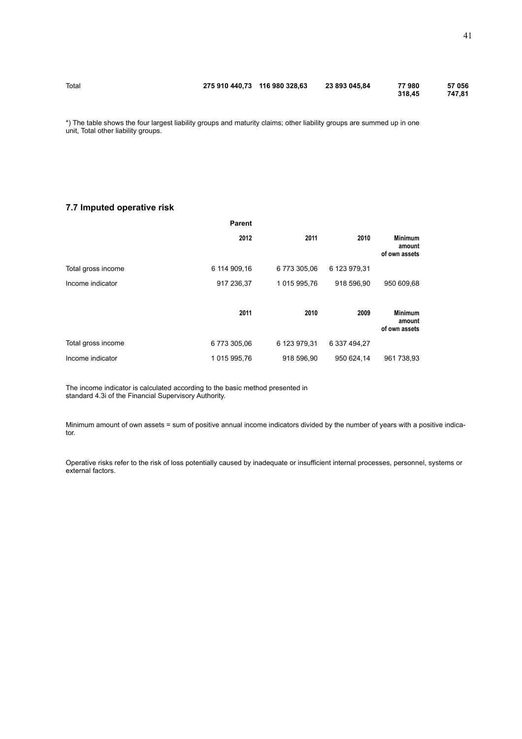\*) The table shows the four largest liability groups and maturity claims; other liability groups are summed up in one unit, Total other liability groups.

### **7.7 Imputed operative risk**

|                    | <b>Parent</b> |              |              |                                           |
|--------------------|---------------|--------------|--------------|-------------------------------------------|
|                    | 2012          | 2011         | 2010         | <b>Minimum</b><br>amount<br>of own assets |
| Total gross income | 6 114 909,16  | 6773305.06   | 6 123 979,31 |                                           |
| Income indicator   | 917 236,37    | 1015 995,76  | 918 596,90   | 950 609,68                                |
|                    | 2011          | 2010         | 2009         | <b>Minimum</b><br>amount<br>of own assets |
| Total gross income | 6773 305,06   | 6 123 979.31 | 6 337 494,27 |                                           |
| Income indicator   | 1 015 995,76  | 918 596.90   | 950 624,14   | 961 738,93                                |

The income indicator is calculated according to the basic method presented in standard 4.3i of the Financial Supervisory Authority.

Minimum amount of own assets = sum of positive annual income indicators divided by the number of years with a positive indicator.

Operative risks refer to the risk of loss potentially caused by inadequate or insufficient internal processes, personnel, systems or external factors.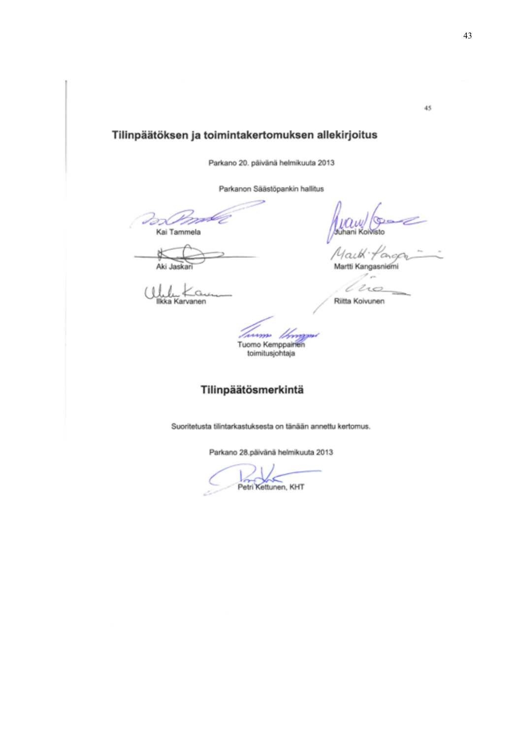# Tilinpäätöksen ja toimintakertomuksen allekirjoitus

Parkano 20. päivänä helmikuuta 2013

Parkanon Säästöpankin hallitus

15 Kai Tammela

Aki Jaskar

J, Karvanen

tuhani Koivisto

Mailk Martti Kangasniemi

no €

Riitta Koivunen

Tuomo Kemppainen toimitusjohtaja

# Tilinpäätösmerkintä

Suoritetusta tilintarkastuksesta on tänään annettu kertomus.

Parkano 28.päivänä helmikuuta 2013

Petri Kettunen, KHT

45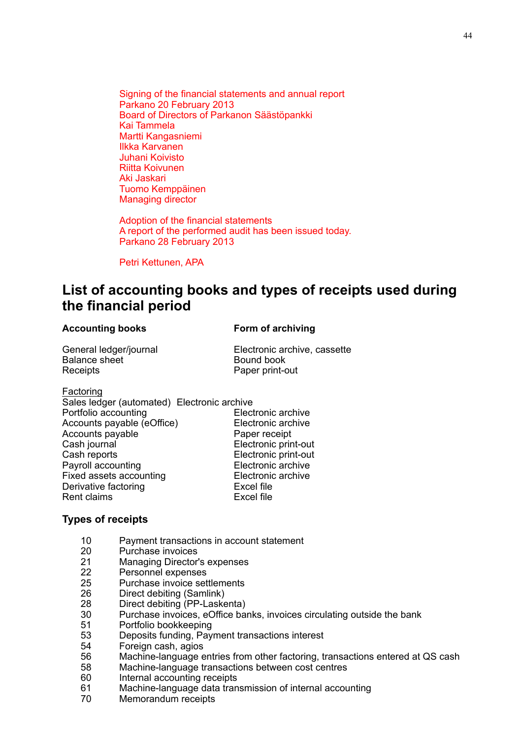Signing of the financial statements and annual report Parkano 20 February 2013 Board of Directors of Parkanon Säästöpankki Kai Tammela Martti Kangasniemi Ilkka Karvanen Juhani Koivisto Riitta Koivunen Aki Jaskari Tuomo Kemppäinen Managing director

Adoption of the financial statements A report of the performed audit has been issued today. Parkano 28 February 2013

Petri Kettunen, APA

# **List of accounting books and types of receipts used during the financial period**

# Accounting books **Form of archiving**

General ledger/journal Electronic archive, cassette Balance sheet Bound book Receipts **Paper print-out** 

Factoring

| Sales ledger (automated) Electronic archive |
|---------------------------------------------|
| Electronic archive                          |
| Electronic archive                          |
| Paper receipt                               |
| Electronic print-out                        |
| Electronic print-out                        |
| Electronic archive                          |
| Electronic archive                          |
| <b>Excel file</b>                           |
| <b>Excel file</b>                           |
|                                             |

# **Types of receipts**

- 10 Payment transactions in account statement
- 20 Purchase invoices
- 21 Managing Director's expenses
- 22 Personnel expenses
- 25 Purchase invoice settlements
- 26 Direct debiting (Samlink)
- 28 Direct debiting (PP-Laskenta)
- 30 Purchase invoices, eOffice banks, invoices circulating outside the bank
- 51 Portfolio bookkeeping
- 53 Deposits funding, Payment transactions interest
- 54 Foreign cash, agios
- 56 Machine-language entries from other factoring, transactions entered at QS cash
- 58 Machine-language transactions between cost centres
- 60 Internal accounting receipts
- 61 Machine-language data transmission of internal accounting
- 70 Memorandum receipts